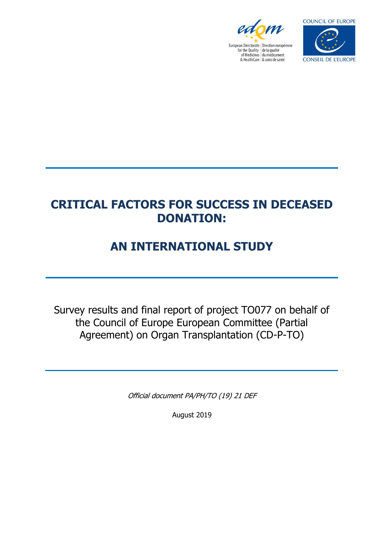



# **CRITICAL FACTORS FOR SUCCESS IN DECEASED DONATION:**

# **AN INTERNATIONAL STUDY**

Survey results and final report of project TO077 on behalf of the Council of Europe European Committee (Partial Agreement) on Organ Transplantation (CD-P-TO)

Official document PA/PH/TO (19) 21 DEF

August 2019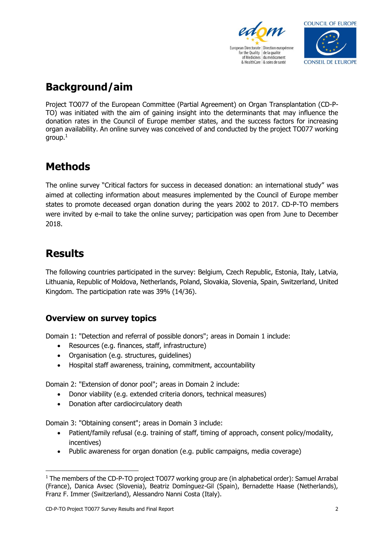



## **Background/aim**

Project TO077 of the European Committee (Partial Agreement) on Organ Transplantation (CD-P-TO) was initiated with the aim of gaining insight into the determinants that may influence the donation rates in the Council of Europe member states, and the success factors for increasing organ availability. An online survey was conceived of and conducted by the project TO077 working group.<sup>1</sup>

## **Methods**

The online survey "Critical factors for success in deceased donation: an international study" was aimed at collecting information about measures implemented by the Council of Europe member states to promote deceased organ donation during the years 2002 to 2017. CD-P-TO members were invited by e-mail to take the online survey; participation was open from June to December 2018.

## **Results**

The following countries participated in the survey: Belgium, Czech Republic, Estonia, Italy, Latvia, Lithuania, Republic of Moldova, Netherlands, Poland, Slovakia, Slovenia, Spain, Switzerland, United Kingdom. The participation rate was 39% (14/36).

## **Overview on survey topics**

Domain 1: "Detection and referral of possible donors"; areas in Domain 1 include:

- Resources (e.g. finances, staff, infrastructure)
- Organisation (e.g. structures, guidelines)
- Hospital staff awareness, training, commitment, accountability

Domain 2: "Extension of donor pool"; areas in Domain 2 include:

- Donor viability (e.g. extended criteria donors, technical measures)
- Donation after cardiocirculatory death

Domain 3: "Obtaining consent"; areas in Domain 3 include:

- Patient/family refusal (e.g. training of staff, timing of approach, consent policy/modality, incentives)
- Public awareness for organ donation (e.g. public campaigns, media coverage)

 $1$  The members of the CD-P-TO project TO077 working group are (in alphabetical order): Samuel Arrabal (France), Danica Avsec (Slovenia), Beatriz Domínguez-Gil (Spain), Bernadette Haase (Netherlands), Franz F. Immer (Switzerland), Alessandro Nanni Costa (Italy).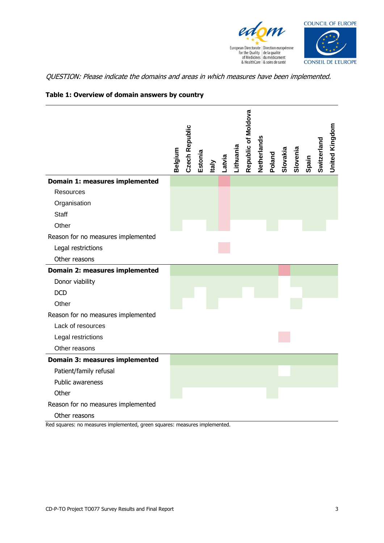



QUESTION: Please indicate the domains and areas in which measures have been implemented.

|                                    | Belgium | <b>Czech Republic</b> | Estonia | Italy | Latvia | Lithuania | Republic of Moldova | Netherlands | Poland | Slovakia | Slovenia | Spain | Switzerland | <b>United Kingdom</b> |
|------------------------------------|---------|-----------------------|---------|-------|--------|-----------|---------------------|-------------|--------|----------|----------|-------|-------------|-----------------------|
| Domain 1: measures implemented     |         |                       |         |       |        |           |                     |             |        |          |          |       |             |                       |
| Resources                          |         |                       |         |       |        |           |                     |             |        |          |          |       |             |                       |
| Organisation                       |         |                       |         |       |        |           |                     |             |        |          |          |       |             |                       |
| <b>Staff</b>                       |         |                       |         |       |        |           |                     |             |        |          |          |       |             |                       |
| Other                              |         |                       |         |       |        |           |                     |             |        |          |          |       |             |                       |
| Reason for no measures implemented |         |                       |         |       |        |           |                     |             |        |          |          |       |             |                       |
| Legal restrictions                 |         |                       |         |       |        |           |                     |             |        |          |          |       |             |                       |
| Other reasons                      |         |                       |         |       |        |           |                     |             |        |          |          |       |             |                       |
| Domain 2: measures implemented     |         |                       |         |       |        |           |                     |             |        |          |          |       |             |                       |
| Donor viability                    |         |                       |         |       |        |           |                     |             |        |          |          |       |             |                       |
| <b>DCD</b>                         |         |                       |         |       |        |           |                     |             |        |          |          |       |             |                       |
| Other                              |         |                       |         |       |        |           |                     |             |        |          |          |       |             |                       |
| Reason for no measures implemented |         |                       |         |       |        |           |                     |             |        |          |          |       |             |                       |
| Lack of resources                  |         |                       |         |       |        |           |                     |             |        |          |          |       |             |                       |
| Legal restrictions                 |         |                       |         |       |        |           |                     |             |        |          |          |       |             |                       |
| Other reasons                      |         |                       |         |       |        |           |                     |             |        |          |          |       |             |                       |
| Domain 3: measures implemented     |         |                       |         |       |        |           |                     |             |        |          |          |       |             |                       |
| Patient/family refusal             |         |                       |         |       |        |           |                     |             |        |          |          |       |             |                       |
| Public awareness                   |         |                       |         |       |        |           |                     |             |        |          |          |       |             |                       |
| Other                              |         |                       |         |       |        |           |                     |             |        |          |          |       |             |                       |
| Reason for no measures implemented |         |                       |         |       |        |           |                     |             |        |          |          |       |             |                       |
| Other reasons                      |         |                       |         |       |        |           |                     |             |        |          |          |       |             |                       |

#### **Table 1: Overview of domain answers by country**

Red squares: no measures implemented, green squares: measures implemented.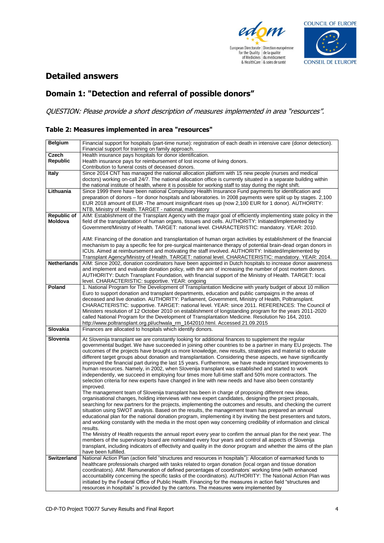



## **Detailed answers**

## **Domain 1: "Detection and referral of possible donors"**

QUESTION: Please provide a short description of measures implemented in area "resources".

#### **Table 2: Measures implemented in area "resources"**

| <b>Belgium</b>     | Financial support for hospitals (part-time nurse): registration of each death in intensive care (donor detection).<br>Financial support for training on family approach. |
|--------------------|--------------------------------------------------------------------------------------------------------------------------------------------------------------------------|
| Czech              | Health insurance pays hospitals for donor identification.                                                                                                                |
| Republic           | Health insurance pays for reimbursement of lost income of living donors.                                                                                                 |
|                    | Contribution to funeral costs of deceased donors.                                                                                                                        |
|                    |                                                                                                                                                                          |
| <b>Italy</b>       | Since 2014 CNT has managed the national allocation platform with 15 new people (nurses and medical                                                                       |
|                    | doctors) working on-call 24/7. The national allocation office is currently situated in a separate building within                                                        |
|                    | the national institute of health, where it is possible for working staff to stay during the night shift.                                                                 |
| Lithuania          | Since 1999 there have been national Compulsory Health Insurance Fund payments for identification and                                                                     |
|                    | preparation of donors – for donor hospitals and laboratories. In 2008 payments were split up by stages. 2,100                                                            |
|                    | EUR 2018 amount of EUR -The amount insignificant rises up (now 2,100 EUR for 1 donor). AUTHORITY:                                                                        |
|                    | NTB, Ministry of Health. TARGET - national, mandatory                                                                                                                    |
| <b>Republic of</b> | AIM: Establishment of the Transplant Agency with the major goal of efficiently implementing state policy in the                                                          |
| Moldova            | field of the transplantation of human organs, tissues and cells. AUTHORITY: Initiated/implemented by                                                                     |
|                    |                                                                                                                                                                          |
|                    | Government/Ministry of Health. TARGET: national level. CHARACTERISTIC: mandatory. YEAR: 2010.                                                                            |
|                    |                                                                                                                                                                          |
|                    | AIM: Financing of the donation and transplantation of human organ activities by establishment of the financial                                                           |
|                    | mechanism to pay a specific fee for pre-surgical maintenance therapy of potential brain-dead organ donors in                                                             |
|                    | ICUs. Aimed at reimbursement and motivating the staff involved. AUTHORITY: Initiated/implemented by                                                                      |
|                    | Transplant Agency/Ministry of Health. TARGET: national level. CHARACTERISTIC: mandatory. YEAR: 2014.                                                                     |
| <b>Netherlands</b> | AIM: Since 2002, donation coordinators have been appointed in Dutch hospitals to increase donor awareness                                                                |
|                    | and implement and evaluate donation policy, with the aim of increasing the number of post mortem donors.                                                                 |
|                    | AUTHORITY: Dutch Transplant Foundation, with financial support of the Ministry of Health. TARGET: local                                                                  |
|                    | level. CHARACTERISTIC: supportive. YEAR: ongoing                                                                                                                         |
|                    |                                                                                                                                                                          |
| Poland             | 1. National Program for The Development of Transplantation Medicine with yearly budget of about 10 million                                                               |
|                    | Euro to support donation and transplant departments, education and public campaigns in the areas of                                                                      |
|                    | deceased and live donation. AUTHORITY: Parliament, Government, Ministry of Health, Poltransplant.                                                                        |
|                    | CHARACTERISTIC: supportive. TARGET: national level. YEAR: since 2011. REFERENCES: The Council of                                                                         |
|                    | Ministers resolution of 12 October 2010 on establishment of longstanding program for the years 2011-2020                                                                 |
|                    | called National Program for the Development of Transplantation Medicine. Resolution No 164, 2010.                                                                        |
|                    | http://www.poltransplant.org.pl/uchwala_rm_1642010.html. Accessed 21.09.2015                                                                                             |
| Slovakia           | Finances are allocated to hospitals which identify donors.                                                                                                               |
|                    |                                                                                                                                                                          |
| Slovenia           | At Slovenija transplant we are constantly looking for additional finances to supplement the regular                                                                      |
|                    | governmental budget. We have succeeded in joining other countries to be a partner in many EU projects. The                                                               |
|                    | outcomes of the projects have brought us more knowledge, new results, strategies and material to educate                                                                 |
|                    | different target groups about donation and transplantation. Considering these aspects, we have significantly                                                             |
|                    | improved the financial part during the last 15 years. Furthermore, we have made important improvements to                                                                |
|                    | human resources. Namely, in 2002, when Slovenija transplant was established and started to work                                                                          |
|                    | independently, we succeed in employing four times more full-time staff and 50% more contractors. The                                                                     |
|                    | selection criteria for new experts have changed in line with new needs and have also been constantly                                                                     |
|                    |                                                                                                                                                                          |
|                    | improved.                                                                                                                                                                |
|                    | The management team of Slovenija transplant has been in charge of proposing different new ideas,                                                                         |
|                    | organisational changes, holding interviews with new expert candidates, designing the project proposals,                                                                  |
|                    | searching for new partners for the projects, implementing the outcomes and results, and checking the current                                                             |
|                    | situation using SWOT analysis. Based on the results, the management team has prepared an annual                                                                          |
|                    | educational plan for the national donation program, implementing it by inviting the best presenters and tutors,                                                          |
|                    | and working constantly with the media in the most open way concerning credibility of information and clinical                                                            |
|                    | results.                                                                                                                                                                 |
|                    | The Ministry of Health requests the annual report every year to confirm the annual plan for the next year. The                                                           |
|                    | members of the supervisory board are nominated every four years and control all aspects of Slovenija                                                                     |
|                    | transplant, including indicators of effectivity and quality in the donor program and whether the aims of the plan                                                        |
|                    | have been fulfilled.                                                                                                                                                     |
| <b>Switzerland</b> | National Action Plan (action field "structures and resources in hospitals"): Allocation of earmarked funds to                                                            |
|                    |                                                                                                                                                                          |
|                    | healthcare professionals charged with tasks related to organ donation (local organ and tissue donation                                                                   |
|                    | coordinators). AIM: Remuneration of defined percentages of coordinators' working time (with enhanced                                                                     |
|                    | accountability concerning the specific tasks of the coordinators). AUTHORITY: The National Action Plan was                                                               |
|                    | initiated by the Federal Office of Public Health. Financing for the measures in action field "structures and                                                             |
|                    | resources in hospitals" is provided by the cantons. The measures were implemented by                                                                                     |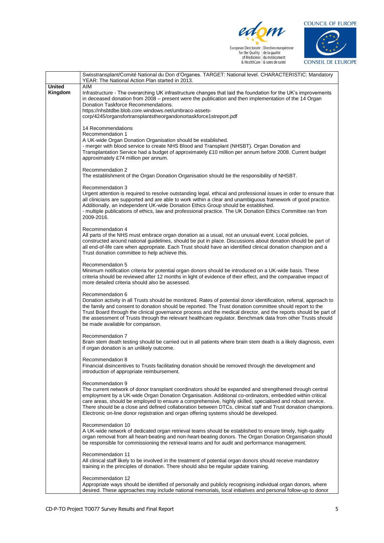





|                          | Swisstransplant/Comité National du Don d'Organes. TARGET: National level. CHARACTERISTIC: Mandatory<br>YEAR: The National Action Plan started in 2013.                                                                                                                                                                                                                                                                                                                                                                                                        |
|--------------------------|---------------------------------------------------------------------------------------------------------------------------------------------------------------------------------------------------------------------------------------------------------------------------------------------------------------------------------------------------------------------------------------------------------------------------------------------------------------------------------------------------------------------------------------------------------------|
| <b>United</b><br>Kingdom | AIM<br>Infrastructure - The overarching UK infrastructure changes that laid the foundation for the UK's improvements<br>in deceased donation from 2008 – present were the publication and then implementation of the 14 Organ<br>Donation Taskforce Recommendations.<br>https://nhsbtdbe.blob.core.windows.net/umbraco-assets-<br>corp/4245/organsfortransplantstheorgandonortaskforce1streport.pdf                                                                                                                                                           |
|                          | 14 Recommendations<br>Recommendation 1<br>A UK-wide Organ Donation Organisation should be established.<br>- merger with blood service to create NHS Blood and Transplant (NHSBT). Organ Donation and<br>Transplantation Service had a budget of approximately £10 million per annum before 2008. Current budget<br>approximately £74 million per annum.                                                                                                                                                                                                       |
|                          | Recommendation 2<br>The establishment of the Organ Donation Organisation should be the responsibility of NHSBT.                                                                                                                                                                                                                                                                                                                                                                                                                                               |
|                          | Recommendation 3<br>Urgent attention is required to resolve outstanding legal, ethical and professional issues in order to ensure that<br>all clinicians are supported and are able to work within a clear and unambiguous framework of good practice.<br>Additionally, an independent UK-wide Donation Ethics Group should be established.<br>- multiple publications of ethics, law and professional practice. The UK Donation Ethics Committee ran from<br>2009-2016.                                                                                      |
|                          | Recommendation 4<br>All parts of the NHS must embrace organ donation as a usual, not an unusual event. Local policies,<br>constructed around national guidelines, should be put in place. Discussions about donation should be part of<br>all end-of-life care when appropriate. Each Trust should have an identified clinical donation champion and a<br>Trust donation committee to help achieve this.                                                                                                                                                      |
|                          | Recommendation 5<br>Minimum notification criteria for potential organ donors should be introduced on a UK-wide basis. These<br>criteria should be reviewed after 12 months in light of evidence of their effect, and the comparative impact of<br>more detailed criteria should also be assessed.                                                                                                                                                                                                                                                             |
|                          | Recommendation 6<br>Donation activity in all Trusts should be monitored. Rates of potential donor identification, referral, approach to<br>the family and consent to donation should be reported. The Trust donation committee should report to the<br>Trust Board through the clinical governance process and the medical director, and the reports should be part of<br>the assessment of Trusts through the relevant healthcare regulator. Benchmark data from other Trusts should<br>be made available for comparison.                                    |
|                          | Recommendation 7<br>Brain stem death testing should be carried out in all patients where brain stem death is a likely diagnosis, even<br>if organ donation is an unlikely outcome.                                                                                                                                                                                                                                                                                                                                                                            |
|                          | Recommendation 8<br>Financial disincentives to Trusts facilitating donation should be removed through the development and<br>introduction of appropriate reimbursement.                                                                                                                                                                                                                                                                                                                                                                                       |
|                          | Recommendation 9<br>The current network of donor transplant coordinators should be expanded and strengthened through central<br>employment by a UK-wide Organ Donation Organisation. Additional co-ordinators, embedded within critical<br>care areas, should be employed to ensure a comprehensive, highly skilled, specialised and robust service.<br>There should be a close and defined collaboration between DTCs, clinical staff and Trust donation champions.<br>Electronic on-line donor registration and organ offering systems should be developed. |
|                          | Recommendation 10<br>A UK-wide network of dedicated organ retrieval teams should be established to ensure timely, high-quality<br>organ removal from all heart-beating and non-heart-beating donors. The Organ Donation Organisation should<br>be responsible for commissioning the retrieval teams and for audit and performance management.                                                                                                                                                                                                                 |
|                          | Recommendation 11<br>All clinical staff likely to be involved in the treatment of potential organ donors should receive mandatory<br>training in the principles of donation. There should also be regular update training.                                                                                                                                                                                                                                                                                                                                    |
|                          | Recommendation 12<br>Appropriate ways should be identified of personally and publicly recognising individual organ donors, where<br>desired. These approaches may include national memorials, local initiatives and personal follow-up to donor                                                                                                                                                                                                                                                                                                               |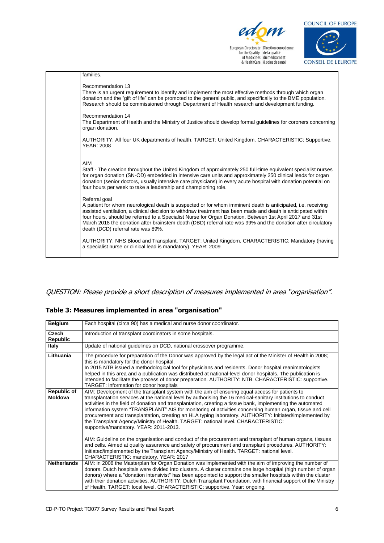



| families.                                                                                                                                                                                                                                                                                                                                                                                                                                                                                                        |
|------------------------------------------------------------------------------------------------------------------------------------------------------------------------------------------------------------------------------------------------------------------------------------------------------------------------------------------------------------------------------------------------------------------------------------------------------------------------------------------------------------------|
| Recommendation 13<br>There is an urgent requirement to identify and implement the most effective methods through which organ<br>donation and the "gift of life" can be promoted to the general public, and specifically to the BME population.<br>Research should be commissioned through Department of Health research and development funding.                                                                                                                                                                 |
| Recommendation 14<br>The Department of Health and the Ministry of Justice should develop formal guidelines for coroners concerning<br>organ donation.                                                                                                                                                                                                                                                                                                                                                            |
| AUTHORITY: All four UK departments of health. TARGET: United Kingdom. CHARACTERISTIC: Supportive.<br><b>YEAR: 2008</b>                                                                                                                                                                                                                                                                                                                                                                                           |
| AIM<br>Staff - The creation throughout the United Kingdom of approximately 250 full-time equivalent specialist nurses<br>for organ donation (SN-OD) embedded in intensive care units and approximately 250 clinical leads for organ<br>donation (senior doctors, usually intensive care physicians) in every acute hospital with donation potential on<br>four hours per week to take a leadership and championing role.                                                                                         |
| Referral goal<br>A patient for whom neurological death is suspected or for whom imminent death is anticipated, i.e. receiving<br>assisted ventilation, a clinical decision to withdraw treatment has been made and death is anticipated within<br>four hours, should be referred to a Specialist Nurse for Organ Donation. Between 1st April 2017 and 31st<br>March 2018 the donation after brainstem death (DBD) referral rate was 99% and the donation after circulatory<br>death (DCD) referral rate was 89%. |
| AUTHORITY: NHS Blood and Transplant. TARGET: United Kingdom. CHARACTERISTIC: Mandatory (having<br>a specialist nurse or clinical lead is mandatory). YEAR: 2009                                                                                                                                                                                                                                                                                                                                                  |

#### QUESTION: Please provide a short description of measures implemented in area "organisation".

#### **Table 3: Measures implemented in area "organisation"**

| <b>Belgium</b>           | Each hospital (circa 90) has a medical and nurse donor coordinator.                                                                                                                                                                                                                                                                                                                                                                                                                                                                                                                                                                                                                   |
|--------------------------|---------------------------------------------------------------------------------------------------------------------------------------------------------------------------------------------------------------------------------------------------------------------------------------------------------------------------------------------------------------------------------------------------------------------------------------------------------------------------------------------------------------------------------------------------------------------------------------------------------------------------------------------------------------------------------------|
| Czech<br><b>Republic</b> | Introduction of transplant coordinators in some hospitals.                                                                                                                                                                                                                                                                                                                                                                                                                                                                                                                                                                                                                            |
| Italy                    | Update of national quidelines on DCD, national crossover programme.                                                                                                                                                                                                                                                                                                                                                                                                                                                                                                                                                                                                                   |
| Lithuania                | The procedure for preparation of the Donor was approved by the legal act of the Minister of Health in 2008;<br>this is mandatory for the donor hospital.<br>In 2015 NTB issued a methodological tool for physicians and residents. Donor hospital reanimatologists<br>helped in this area and a publication was distributed at national-level donor hospitals. The publication is<br>intended to facilitate the process of donor preparation. AUTHORITY: NTB. CHARACTERISTIC: supportive.<br>TARGET: information for donor hospitals                                                                                                                                                  |
| Republic of<br>Moldova   | AIM: Development of the transplant system with the aim of ensuring equal access for patients to<br>transplantation services at the national level by authorising the 16 medical-sanitary institutions to conduct<br>activities in the field of donation and transplantation, creating a tissue bank, implementing the automated<br>information system "TRANSPLANT" AIS for monitoring of activities concerning human organ, tissue and cell<br>procurement and transplantation, creating an HLA typing laboratory. AUTHORITY: Initiated/implemented by<br>the Transplant Agency/Ministry of Health. TARGET: national level. CHARACTERISTIC:<br>supportive/mandatory. YEAR: 2011-2013. |
|                          | AIM: Guideline on the organisation and conduct of the procurement and transplant of human organs, tissues<br>and cells. Aimed at quality assurance and safety of procurement and transplant procedures. AUTHORITY:<br>Initiated/implemented by the Transplant Agency/Ministry of Health. TARGET: national level.<br>CHARACTERISTIC: mandatory. YEAR: 2017                                                                                                                                                                                                                                                                                                                             |
| <b>Netherlands</b>       | AIM: in 2008 the Masterplan for Organ Donation was implemented with the aim of improving the number of<br>donors. Dutch hospitals were divided into clusters. A cluster contains one large hospital (high number of organ<br>donors) where a "donation intensivist" has been appointed to support the smaller hospitals within the cluster<br>with their donation activities. AUTHORITY: Dutch Transplant Foundation, with financial support of the Ministry<br>of Health. TARGET: local level. CHARACTERISTIC: supportive. Year: ongoing.                                                                                                                                            |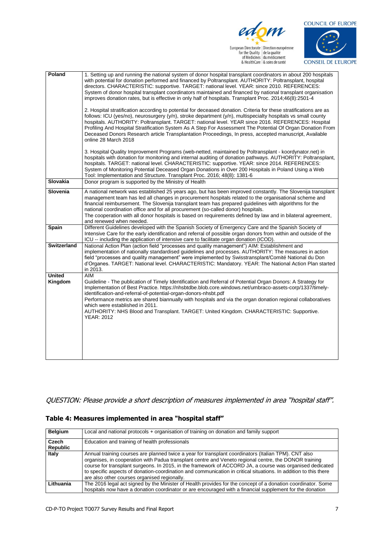



| Poland                   | 1. Setting up and running the national system of donor hospital transplant coordinators in about 200 hospitals<br>with potential for donation performed and financed by Poltransplant. AUTHORITY: Poltransplant, hospital<br>directors. CHARACTERISTIC: supportive. TARGET: national level. YEAR: since 2010. REFERENCES:<br>System of donor hospital transplant coordinators maintained and financed by national transplant organisation<br>improves donation rates, but is effective in only half of hospitals. Transplant Proc. 2014;46(8):2501-4<br>2. Hospital stratification according to potential for deceased donation. Criteria for these stratifications are as<br>follows: ICU (yes/no), neurosurgery (y/n), stroke department (y/n), multispecialty hospitals vs small county<br>hospitals. AUTHORITY: Poltransplant. TARGET: national level. YEAR since 2016. REFERENCES: Hospital<br>Profiling And Hospital Stratification System As A Step For Assessment The Potential Of Organ Donation From<br>Deceased Donors Research article Transplantation Proceedings, In press, accepted manuscript, Available<br>online 28 March 2018 |
|--------------------------|--------------------------------------------------------------------------------------------------------------------------------------------------------------------------------------------------------------------------------------------------------------------------------------------------------------------------------------------------------------------------------------------------------------------------------------------------------------------------------------------------------------------------------------------------------------------------------------------------------------------------------------------------------------------------------------------------------------------------------------------------------------------------------------------------------------------------------------------------------------------------------------------------------------------------------------------------------------------------------------------------------------------------------------------------------------------------------------------------------------------------------------------------|
|                          | 3. Hospital Quality Improvement Programs (web-netted, maintained by Poltransplant - koordynator.net) in<br>hospitals with donation for monitoring and internal auditing of donation pathways. AUTHORITY: Poltransplant,<br>hospitals. TARGET: national level. CHARACTERISTIC: supportive. YEAR: since 2014. REFERENCES:<br>System of Monitoring Potential Deceased Organ Donations in Over 200 Hospitals in Poland Using a Web<br>Tool: Implementation and Structure. Transplant Proc. 2016; 48(8): 1381-6                                                                                                                                                                                                                                                                                                                                                                                                                                                                                                                                                                                                                                       |
| Slovakia                 | Donor program is supported by the Ministry of Health                                                                                                                                                                                                                                                                                                                                                                                                                                                                                                                                                                                                                                                                                                                                                                                                                                                                                                                                                                                                                                                                                             |
| Slovenia                 | A national network was established 25 years ago, but has been improved constantly. The Slovenija transplant<br>management team has led all changes in procurement hospitals related to the organisational scheme and<br>financial reimbursement. The Slovenija transplant team has prepared guidelines with algorithms for the<br>national coordination office and for all procurement (so-called donor) hospitals.<br>The cooperation with all donor hospitals is based on requirements defined by law and in bilateral agreement,<br>and renewed when needed.                                                                                                                                                                                                                                                                                                                                                                                                                                                                                                                                                                                  |
| Spain                    | Different Guidelines developed with the Spanish Society of Emergency Care and the Spanish Society of<br>Intensive Care for the early identification and referral of possible organ donors from within and outside of the<br>ICU -- including the application of intensive care to facilitate organ donation (ICOD).                                                                                                                                                                                                                                                                                                                                                                                                                                                                                                                                                                                                                                                                                                                                                                                                                              |
| Switzerland              | National Action Plan (action field "processes and quality management") AIM: Establishment and<br>implementation of nationally standardised guidelines and processes. AUTHORITY: The measures in action<br>field "processes and quality management" were implemented by Swisstransplant/Comité National du Don<br>d'Organes. TARGET: National level. CHARACTERISTIC: Mandatory. YEAR: The National Action Plan started<br>in 2013.                                                                                                                                                                                                                                                                                                                                                                                                                                                                                                                                                                                                                                                                                                                |
| <b>United</b><br>Kingdom | <b>AIM</b><br>Guideline - The publication of Timely Identification and Referral of Potential Organ Donors: A Strategy for<br>Implementation of Best Practice. https://nhsbtdbe.blob.core.windows.net/umbraco-assets-corp/1337/timely-<br>identification-and-referral-of-potential-organ-donors-nhsbt.pdf<br>Performance metrics are shared biannually with hospitals and via the organ donation regional collaboratives<br>which were established in 2011.<br>AUTHORITY: NHS Blood and Transplant. TARGET: United Kingdom. CHARACTERISTIC: Supportive.<br><b>YEAR: 2012</b>                                                                                                                                                                                                                                                                                                                                                                                                                                                                                                                                                                      |

QUESTION: Please provide a short description of measures implemented in area "hospital staff".

#### **Table 4: Measures implemented in area "hospital staff"**

| <b>Belgium</b>    | Local and national protocols + organisation of training on donation and family support                                                                                                                                                                                                                                                                                                                                                                                                        |
|-------------------|-----------------------------------------------------------------------------------------------------------------------------------------------------------------------------------------------------------------------------------------------------------------------------------------------------------------------------------------------------------------------------------------------------------------------------------------------------------------------------------------------|
| Czech<br>Republic | Education and training of health professionals                                                                                                                                                                                                                                                                                                                                                                                                                                                |
|                   |                                                                                                                                                                                                                                                                                                                                                                                                                                                                                               |
| Italy             | Annual training courses are planned twice a year for transplant coordinators (Italian TPM). CNT also<br>organises, in cooperation with Padua transplant centre and Veneto regional centre, the DONOR training<br>course for transplant surgeons. In 2015, in the framework of ACCORD JA, a course was organised dedicated<br>to specific aspects of donation-coordination and communication in critical situations. In addition to this there<br>are also other courses organised regionally. |
| Lithuania         | The 2016 legal act signed by the Minister of Health provides for the concept of a donation coordinator. Some                                                                                                                                                                                                                                                                                                                                                                                  |
|                   | hospitals now have a donation coordinator or are encouraged with a financial supplement for the donation                                                                                                                                                                                                                                                                                                                                                                                      |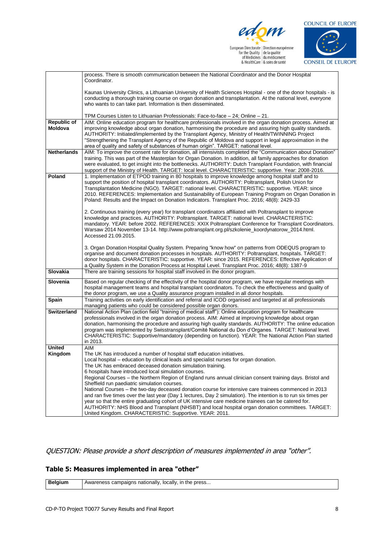





|                    | process. There is smooth communication between the National Coordinator and the Donor Hospital                                                                                                                      |
|--------------------|---------------------------------------------------------------------------------------------------------------------------------------------------------------------------------------------------------------------|
|                    | Coordinator.                                                                                                                                                                                                        |
|                    |                                                                                                                                                                                                                     |
|                    | Kaunas University Clinics, a Lithuanian University of Health Sciences Hospital - one of the donor hospitals - is                                                                                                    |
|                    | conducting a thorough training course on organ donation and transplantation. At the national level, everyone                                                                                                        |
|                    | who wants to can take part. Information is then disseminated.                                                                                                                                                       |
|                    | TPM Courses Listen to Lithuanian Professionals: Face-to-face - 24; Online - 21.                                                                                                                                     |
| <b>Republic of</b> | AIM: Online education program for healthcare professionals involved in the organ donation process. Aimed at                                                                                                         |
| Moldova            | improving knowledge about organ donation, harmonising the procedure and assuring high quality standards.                                                                                                            |
|                    | AUTHORITY: Initiated/implemented by the Transplant Agency, Ministry of Health/TWINNING Project                                                                                                                      |
|                    | "Strengthening the Transplant Agency of the Republic of Moldova and support in legal approximation in the                                                                                                           |
|                    | area of quality and safety of substances of human origin". TARGET: national level.                                                                                                                                  |
| <b>Netherlands</b> | AIM: To improve the consent rate for donation, all intensivists completed the "Communication about Donation"                                                                                                        |
|                    | training. This was part of the Masterplan for Organ Donation. In addition, all family approaches for donation                                                                                                       |
|                    | were evaluated, to get insight into the bottlenecks. AUTHORITY: Dutch Transplant Foundation, with financial<br>support of the Ministry of Health. TARGET: local level. CHARACTERISTIC: supportive. Year: 2008-2016. |
| Poland             | 1. Implementation of ETPOD training in 80 hospitals to improve knowledge among hospital staff and to                                                                                                                |
|                    | support the position of hospital transplant coordinators. AUTHORITY: Poltransplant, Polish Union for                                                                                                                |
|                    | Transplantation Medicine (NGO). TARGET: national level. CHARACTERISTIC: supportive. YEAR: since                                                                                                                     |
|                    | 2010. REFERENCES: Implementation and Sustainability of European Training Program on Organ Donation in                                                                                                               |
|                    | Poland: Results and the Impact on Donation Indicators. Transplant Proc. 2016; 48(8): 2429-33                                                                                                                        |
|                    |                                                                                                                                                                                                                     |
|                    | 2. Continuous training (every year) for transplant coordinators affiliated with Poltransplant to improve                                                                                                            |
|                    | knowledge and practices. AUTHORITY: Poltransplant. TARGET: national level. CHARACTERISTIC:<br>mandatory. YEAR: before 2002. REFERENCES: XXIX Poltransplant Conference for Transplant Coordinators.                  |
|                    | Warsaw 2014 November 13-14. http://www.poltransplant.org.pl/szkolenie_koordynatorow_2014.html.                                                                                                                      |
|                    | Accessed 21.09.2015.                                                                                                                                                                                                |
|                    |                                                                                                                                                                                                                     |
|                    | 3. Organ Donation Hospital Quality System. Preparing "know how" on patterns from ODEQUS program to                                                                                                                  |
|                    | organise and document donation processes in hospitals. AUTHORITY: Poltransplant, hospitals. TARGET:                                                                                                                 |
|                    | donor hospitals. CHARACTERISTIC: supportive. YEAR: since 2015. REFERENCES: Effective Application of                                                                                                                 |
|                    | a Quality System in the Donation Process at Hospital Level. Transplant Proc. 2016; 48(8): 1387-9                                                                                                                    |
| <b>Slovakia</b>    | There are training sessions for hospital staff involved in the donor program.                                                                                                                                       |
| Slovenia           | Based on regular checking of the effectivity of the hospital donor program, we have regular meetings with                                                                                                           |
|                    | hospital management teams and hospital transplant coordinators. To check the effectiveness and quality of                                                                                                           |
| Spain              | the donor program, we use a Quality assurance program installed in all donor hospitals.<br>Training activities on early identification and referral and ICOD organised and targeted at all professionals            |
|                    | managing patients who could be considered possible organ donors.                                                                                                                                                    |
| <b>Switzerland</b> | National Action Plan (action field "training of medical staff"): Online education program for healthcare                                                                                                            |
|                    | professionals involved in the organ donation process. AIM: Aimed at improving knowledge about organ                                                                                                                 |
|                    | donation, harmonising the procedure and assuring high quality standards. AUTHORITY: The online education                                                                                                            |
|                    | program was implemented by Swisstransplant/Comité National du Don d'Organes. TARGET: National level.                                                                                                                |
|                    | CHARACTERISTIC: Supportive/mandatory (depending on function). YEAR: The National Action Plan started                                                                                                                |
|                    | in 2013.                                                                                                                                                                                                            |
| <b>United</b>      | <b>AIM</b><br>The UK has introduced a number of hospital staff education initiatives.                                                                                                                               |
| Kingdom            | Local hospital - education by clinical leads and specialist nurses for organ donation                                                                                                                               |
|                    | The UK has embraced deceased donation simulation training.                                                                                                                                                          |
|                    | 6 hospitals have introduced local simulation courses.                                                                                                                                                               |
|                    | Regional Courses - the Northern Region of England runs annual clinician consent training days. Bristol and                                                                                                          |
|                    | Sheffield run paediatric simulation courses.                                                                                                                                                                        |
|                    | National Courses - the two-day deceased donation course for intensive care trainees commenced in 2013                                                                                                               |
|                    | and ran five times over the last year (Day 1 lectures, Day 2 simulation). The intention is to run six times per                                                                                                     |
|                    | year so that the entire graduating cohort of UK intensive care medicine trainees can be catered for.                                                                                                                |
|                    | AUTHORITY: NHS Blood and Transplant (NHSBT) and local hospital organ donation committees. TARGET:                                                                                                                   |
|                    | United Kingdom. CHARACTERISTIC: Supportive. YEAR: 2011.                                                                                                                                                             |

QUESTION: Please provide a short description of measures implemented in area "other".

#### **Table 5: Measures implemented in area "other"**

|  | nationally<br>press<br>locally<br>-ır<br>campaigns<br>reness<br>me<br>AWdi<br>the contract of the contract of the |
|--|-------------------------------------------------------------------------------------------------------------------|
|--|-------------------------------------------------------------------------------------------------------------------|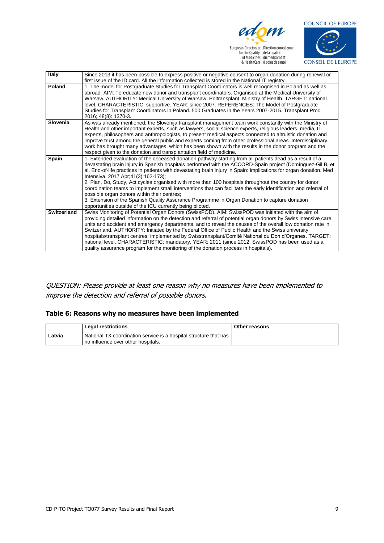



| Italy           | Since 2013 it has been possible to express positive or negative consent to organ donation during renewal or                                                                                                                                                                                                                                                                                                                                                                                                                                                                                                                                                                                                                                                                                                                      |
|-----------------|----------------------------------------------------------------------------------------------------------------------------------------------------------------------------------------------------------------------------------------------------------------------------------------------------------------------------------------------------------------------------------------------------------------------------------------------------------------------------------------------------------------------------------------------------------------------------------------------------------------------------------------------------------------------------------------------------------------------------------------------------------------------------------------------------------------------------------|
|                 | first issue of the ID card. All the information collected is stored in the National IT registry.                                                                                                                                                                                                                                                                                                                                                                                                                                                                                                                                                                                                                                                                                                                                 |
| Poland          | 1. The model for Postgraduate Studies for Transplant Coordinators is well recognised in Poland as well as<br>abroad. AIM: To educate new donor and transplant coordinators. Organised at the Medical University of<br>Warsaw. AUTHORITY: Medical University of Warsaw, Poltransplant, Ministry of Health. TARGET: national<br>level. CHARACTERISTIC: supportive. YEAR: since 2007. REFERENCES: The Model of Postgraduate<br>Studies for Transplant Coordinators in Poland. 500 Graduates in the Years 2007-2015. Transplant Proc.<br>2016; 48(8): 1370-3.                                                                                                                                                                                                                                                                        |
| <b>Slovenia</b> | As was already mentioned, the Slovenija transplant management team work constantly with the Ministry of<br>Health and other important experts, such as lawyers, social science experts, religious leaders, media, IT<br>experts, philosophers and anthropologists, to present medical aspects connected to altruistic donation and<br>improve trust among the general public and experts coming from other professional areas. Interdisciplinary<br>work has brought many advantages, which has been shown with the results in the donor program and the<br>respect given to the donation and transplantation field of medicine.                                                                                                                                                                                                 |
| <b>Spain</b>    | 1. Extended evaluation of the deceased donation pathway starting from all patients dead as a result of a<br>devastating brain injury in Spanish hospitals performed with the ACCORD-Spain project (Domínguez-Gil B, et<br>al. End-of-life practices in patients with devastating brain injury in Spain: implications for organ donation. Med<br>Intensiva. 2017 Apr; 41(3): 162-173);<br>2. Plan, Do, Study, Act cycles organised with more than 100 hospitals throughout the country for donor<br>coordination teams to implement small interventions that can facilitate the early identification and referral of<br>possible organ donors within their centres;<br>3. Extension of the Spanish Quality Assurance Programme in Organ Donation to capture donation<br>opportunities outside of the ICU currently being piloted. |
| Switzerland     | Swiss Monitoring of Potential Organ Donors (SwissPOD). AIM: SwissPOD was initiated with the aim of<br>providing detailed information on the detection and referral of potential organ donors by Swiss intensive care<br>units and accident and emergency departments, and to reveal the causes of the overall low donation rate in<br>Switzerland. AUTHORITY: Initiated by the Federal Office of Public Health and the Swiss university<br>hospitals/transplant centres; implemented by Swisstransplant/Comité National du Don d'Organes. TARGET:<br>national level. CHARACTERISTIC: mandatory. YEAR: 2011 (since 2012, SwissPOD has been used as a<br>quality assurance program for the monitoring of the donation process in hospitals).                                                                                       |

QUESTION: Please provide at least one reason why no measures have been implemented to improve the detection and referral of possible donors.

#### **Table 6: Reasons why no measures have been implemented**

|        | <b>Legal restrictions</b>                                           | Other reasons |
|--------|---------------------------------------------------------------------|---------------|
| Latvia | . National TX coordination service is a hospital structure that has |               |
|        | no influence over other hospitals.                                  |               |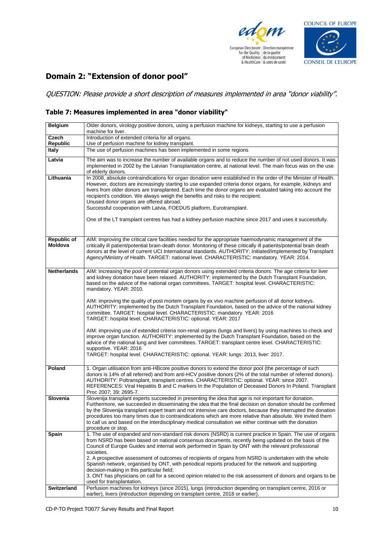



### **Domain 2: "Extension of donor pool"**

QUESTION: Please provide a short description of measures implemented in area "donor viability".

#### **Table 7: Measures implemented in area "donor viability"**

| <b>Belgium</b>         | Older donors, virology positive donors, using a perfusion machine for kidneys, starting to use a perfusion<br>machine for liver.                                                                                                                                                                                                                                                                                                                                                                                                                                                                                                                               |
|------------------------|----------------------------------------------------------------------------------------------------------------------------------------------------------------------------------------------------------------------------------------------------------------------------------------------------------------------------------------------------------------------------------------------------------------------------------------------------------------------------------------------------------------------------------------------------------------------------------------------------------------------------------------------------------------|
| Czech                  | Introduction of extended criteria for all organs.                                                                                                                                                                                                                                                                                                                                                                                                                                                                                                                                                                                                              |
| <b>Republic</b>        | Use of perfusion machine for kidney transplant.                                                                                                                                                                                                                                                                                                                                                                                                                                                                                                                                                                                                                |
| <b>Italy</b>           | The use of perfusion machines has been implemented in some regions                                                                                                                                                                                                                                                                                                                                                                                                                                                                                                                                                                                             |
| Latvia                 | The aim was to increase the number of available organs and to reduce the number of not used donors. It was<br>implemented in 2002 by the Latvian Transplantation centre, at national level. The main focus was on the use<br>of elderly donors.                                                                                                                                                                                                                                                                                                                                                                                                                |
| Lithuania              | In 2008, absolute contraindications for organ donation were established in the order of the Minister of Health.<br>However, doctors are increasingly starting to use expanded criteria donor organs, for example, kidneys and<br>livers from older donors are transplanted. Each time the donor organs are evaluated taking into account the<br>recipient's condition. We always weigh the benefits and risks to the recipient.<br>Unused donor organs are offered abroad.<br>Successful cooperation with Latvia, FOEDUS platform, Eurotransplant.<br>One of the LT transplant centres has had a kidney perfusion machine since 2017 and uses it successfully. |
| Republic of<br>Moldova | AIM: Improving the critical care facilities needed for the appropriate haemodynamic management of the<br>critically ill patient/potential brain-death donor. Monitoring of these critically ill patients/potential brain death<br>donors at the level of current UCI International standards. AUTHORITY: Initiated/implemented by Transplant<br>Agency/Ministry of Health. TARGET: national level. CHARACTERISTIC: mandatory. YEAR: 2014.                                                                                                                                                                                                                      |
| <b>Netherlands</b>     | AIM: increasing the pool of potential organ donors using extended criteria donors. The age criteria for liver<br>and kidney donation have been relaxed. AUTHORITY: implemented by the Dutch Transplant Foundation,<br>based on the advice of the national organ committees. TARGET: hospital level. CHARACTERISTIC:<br>mandatory. YEAR: 2010.                                                                                                                                                                                                                                                                                                                  |
|                        | AIM: improving the quality of post mortem organs by ex vivo machine perfusion of all donor kidneys.<br>AUTHORITY: implemented by the Dutch Transplant Foundation, based on the advice of the national kidney<br>committee. TARGET: hospital level. CHARACTERISTIC: mandatory. YEAR: 2016<br>TARGET: hospital level. CHARACTERISTIC: optional. YEAR: 2017                                                                                                                                                                                                                                                                                                       |
|                        | AIM: improving use of extended criteria non-renal organs (lungs and livers) by using machines to check and<br>improve organ function. AUTHORITY: implemented by the Dutch Transplant Foundation, based on the<br>advice of the national lung and liver committees. TARGET: transplant centre level. CHARACTERISTIC:<br>supportive. YEAR: 2016<br>TARGET: hospital level. CHARACTERISTIC: optional. YEAR: lungs: 2013, liver: 2017.                                                                                                                                                                                                                             |
|                        |                                                                                                                                                                                                                                                                                                                                                                                                                                                                                                                                                                                                                                                                |
| Poland                 | 1. Organ utilisation from anti-HBcore positive donors to extend the donor pool (the percentage of such<br>donors is 14% of all referred) and from anti-HCV positive donors (2% of the total number of referred donors).<br>AUTHORITY: Poltransplant, transplant centres. CHARACTERISTIC: optional. YEAR: since 2007.<br>REFERENCES: Viral Hepatitis B and C markers In the Population of Deceased Donors In Poland. Transplant<br>Proc 2007; 39: 2695-7.                                                                                                                                                                                                       |
| Slovenia               | Slovenija transplant experts succeeded in presenting the idea that age is not important for donation.<br>Furthermore, we succeeded in disseminating the idea that the final decision on donation should be confirmed<br>by the Slovenija transplant expert team and not intensive care doctors, because they interrupted the donation<br>procedures too many times due to contraindications which are more relative than absolute. We invited them<br>to call us and based on the interdisciplinary medical consultation we either continue with the donation<br>procedure or stop.                                                                            |
| Spain                  | 1. The use of expanded and non-standard risk donors (NSRD) is current practice in Spain. The use of organs<br>from NSRD has been based on national consensus documents, recently being updated on the basis of the<br>Council of Europe Guides and internal work performed in Spain by ONT with the relevant professional<br>societies.<br>2. A prospective assessment of outcomes of recipients of organs from NSRD is undertaken with the whole                                                                                                                                                                                                              |
|                        | Spanish network, organised by ONT, with periodical reports produced for the network and supporting<br>decision-making in this particular field;<br>3. ONT has physicians on call for a second opinion related to the risk assessment of donors and organs to be<br>used for transplantation.                                                                                                                                                                                                                                                                                                                                                                   |
| Switzerland            | Perfusion machines for kidneys (since 2015), lungs (introduction depending on transplant centre, 2016 or<br>earlier), livers (introduction depending on transplant centre, 2018 or earlier).                                                                                                                                                                                                                                                                                                                                                                                                                                                                   |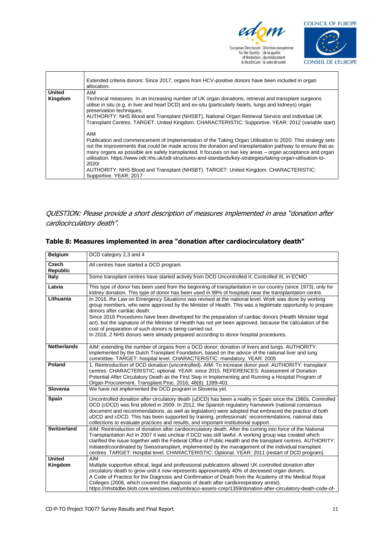



|               | Extended criteria donors: Since 2017, organs from HCV-positive donors have been included in organ<br>allocation.                                                                                                                                                                                                                                                                                                                                                                                                                                                                       |
|---------------|----------------------------------------------------------------------------------------------------------------------------------------------------------------------------------------------------------------------------------------------------------------------------------------------------------------------------------------------------------------------------------------------------------------------------------------------------------------------------------------------------------------------------------------------------------------------------------------|
| <b>United</b> | AIM                                                                                                                                                                                                                                                                                                                                                                                                                                                                                                                                                                                    |
| Kingdom       | Technical measures. In an increasing number of UK organ donations, retrieval and transplant surgeons<br>utilise in situ (e.g. in liver and heart DCD) and ex-situ (particularly hearts, lungs and kidneys) organ<br>preservation techniques.<br>AUTHORITY: NHS Blood and Transplant (NHSBT), National Organ Retrieval Service and individual UK<br>Transplant Centres. TARGET: United Kingdom. CHARACTERISTIC: Supportive. YEAR: 2012 (variable start)                                                                                                                                 |
|               | AIM<br>Publication and commencement of implementation of the Taking Organ Utilisation to 2020. This strategy sets<br>out the improvements that could be made across the donation and transplantation pathway to ensure that as<br>many organs as possible are safely transplanted. It focuses on two key areas - organ acceptance and organ<br>utilisation. https://www.odt.nhs.uk/odt-structures-and-standards/key-strategies/taking-organ-utilisation-to-<br>2020/<br>AUTHORITY: NHS Blood and Transplant (NHSBT). TARGET: United Kingdom. CHARACTERISTIC:<br>Supportive, YEAR: 2017 |

QUESTION: Please provide a short description of measures implemented in area "donation after cardiocirculatory death".

| <b>Belgium</b>           | DCD category 2,3 and 4                                                                                                                                                                                                                                                                                                                                                                                                                                                                                                                                                                                                                                                                                                                |  |
|--------------------------|---------------------------------------------------------------------------------------------------------------------------------------------------------------------------------------------------------------------------------------------------------------------------------------------------------------------------------------------------------------------------------------------------------------------------------------------------------------------------------------------------------------------------------------------------------------------------------------------------------------------------------------------------------------------------------------------------------------------------------------|--|
| <b>Czech</b><br>Republic | All centres have started a DCD program.                                                                                                                                                                                                                                                                                                                                                                                                                                                                                                                                                                                                                                                                                               |  |
| <b>Italy</b>             | Some transplant centres have started activity from DCD Uncontrolled II, Controlled III, in ECMO                                                                                                                                                                                                                                                                                                                                                                                                                                                                                                                                                                                                                                       |  |
| Latvia                   | This type of donor has been used from the beginning of transplantation in our country (since 1973), only for                                                                                                                                                                                                                                                                                                                                                                                                                                                                                                                                                                                                                          |  |
| Lithuania                | kidney donation. This type of donor has been used in 99% of hospitals near the transplantation centre.<br>In 2016, the Law on Emergency Situations was revised at the national level. Work was done by working<br>group members, who were approved by the Minister of Health. This was a legitimate opportunity to prepare<br>donors after cardiac death.<br>Since 2016 Procedures have been developed for the preparation of cardiac donors (Health Minister legal<br>act), but the signature of the Minister of Health has not yet been approved, because the calculation of the<br>cost of preparation of such donors is being carried out.<br>In 2016, 2 NHS donors were already prepared according to donor hospital procedures. |  |
| <b>Netherlands</b>       | AIM: extending the number of organs from a DCD donor; donation of livers and lungs. AUTHORITY:<br>implemented by the Dutch Transplant Foundation, based on the advice of the national liver and lung<br>committee. TARGET: hospital level. CHARACTERISTIC: mandatory. YEAR: 2005                                                                                                                                                                                                                                                                                                                                                                                                                                                      |  |
| Poland                   | 1. Reintroduction of DCD donation (uncontrolled). AIM: To increase donor pool. AUTHORITY: transplant<br>centres. CHARACTERISTIC: optional. YEAR: since 2015. REFERENCES: Assessment of Donation<br>Potential After Circulatory Death as the First Step in Implementing and Running a Hospital Program of<br>Organ Procurement. Transplant Proc. 2016; 48(8): 1399-401                                                                                                                                                                                                                                                                                                                                                                 |  |
| Slovenia                 | We have not implemented the DCD program in Slovenia yet.                                                                                                                                                                                                                                                                                                                                                                                                                                                                                                                                                                                                                                                                              |  |
| Spain                    | Uncontrolled donation after circulatory death (uDCD) has been a reality in Spain since the 1980s. Controlled<br>DCD (cDCD) was first piloted in 2009. In 2012, the Spanish regulatory framework (national consensus<br>document and recommendations, as well as legislation) were adopted that embraced the practice of both<br>uDCD and cDCD. This has been supported by training, professionals' recommendations, national data<br>collections to evaluate practices and results, and important institutional support.                                                                                                                                                                                                              |  |
| <b>Switzerland</b>       | AIM: Reintroduction of donation after cardiocirculatory death. After the coming into force of the National<br>Transplantation Act in 2007 it was unclear if DCD was still lawful. A working group was created which<br>clarified the issue together with the Federal Office of Public Health and the transplant centres. AUTHORITY:<br>Initiated/coordinated by Swisstransplant, implemented by the management of the individual transplant<br>centres. TARGET: Hospital level. CHARACTERISTIC: Optional. YEAR: 2011 (restart of DCD program).                                                                                                                                                                                        |  |
| <b>United</b><br>Kingdom | <b>AIM</b><br>Multiple supportive ethical, legal and professional publications allowed UK controlled donation after<br>circulatory death to grow until it now represents approximately 40% of deceased organ donors.<br>A Code of Practice for the Diagnosis and Confirmation of Death from the Academy of the Medical Royal<br>Colleges (2008, which covered the diagnosis of death after cardiorespiratory arrest).<br>https://nhsbtdbe.blob.core.windows.net/umbraco-assets-corp/1359/donation-after-circulatory-death-code-of-                                                                                                                                                                                                    |  |

#### **Table 8: Measures implemented in area "donation after cardiocirculatory death"**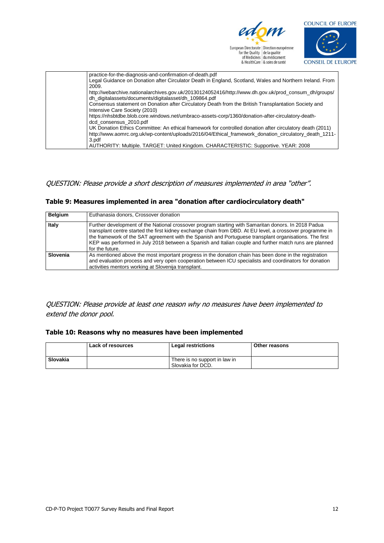



| practice-for-the-diagnosis-and-confirmation-of-death.pdf                                                                                                      |
|---------------------------------------------------------------------------------------------------------------------------------------------------------------|
| Legal Guidance on Donation after Circulator Death in England, Scotland, Wales and Northern Ireland. From<br>2009.                                             |
| http://webarchive.nationalarchives.gov.uk/20130124052416/http://www.dh.gov.uk/prod_consum_dh/groups/<br>dh digitalassets/documents/digitalasset/dh 109864.pdf |
| Consensus statement on Donation after Circulatory Death from the British Transplantation Society and<br>Intensive Care Society (2010)                         |
| https://nhsbtdbe.blob.core.windows.net/umbraco-assets-corp/1360/donation-after-circulatory-death-<br>dcd consensus 2010.pdf                                   |
| UK Donation Ethics Committee: An ethical framework for controlled donation after circulatory death (2011)                                                     |
| http://www.aomrc.org.uk/wp-content/uploads/2016/04/Ethical framework donation circulatory death 1211-<br>3.pdf                                                |
| AUTHORITY: Multiple. TARGET: United Kingdom. CHARACTERISTIC: Supportive. YEAR: 2008                                                                           |

#### QUESTION: Please provide a short description of measures implemented in area "other".

#### **Table 9: Measures implemented in area "donation after cardiocirculatory death"**

| <b>Belgium</b> | Euthanasia donors, Crossover donation                                                                                                                                                                                                                                                                                                                                                                                                                   |
|----------------|---------------------------------------------------------------------------------------------------------------------------------------------------------------------------------------------------------------------------------------------------------------------------------------------------------------------------------------------------------------------------------------------------------------------------------------------------------|
| Italy          | Further development of the National crossover program starting with Samaritan donors. In 2018 Padua<br>transplant centre started the first kidney exchange chain from DBD. At EU level, a crossover programme in<br>the framework of the SAT agreement with the Spanish and Portuguese transplant organisations. The first<br>KEP was performed in July 2018 between a Spanish and Italian couple and further match runs are planned<br>for the future. |
| Slovenia       | As mentioned above the most important progress in the donation chain has been done in the registration<br>and evaluation process and very open cooperation between ICU specialists and coordinators for donation<br>activities mentors working at Slovenija transplant.                                                                                                                                                                                 |

QUESTION: Please provide at least one reason why no measures have been implemented to extend the donor pool.

#### **Table 10: Reasons why no measures have been implemented**

|          | Lack of resources | Legal restrictions                                 | <b>Other reasons</b> |
|----------|-------------------|----------------------------------------------------|----------------------|
| Slovakia |                   | There is no support in law in<br>Slovakia for DCD. |                      |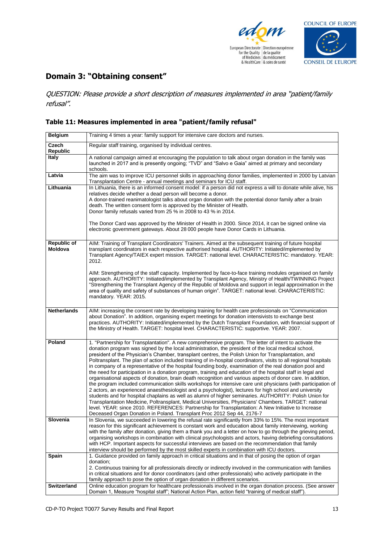



## **Domain 3: "Obtaining consent"**

QUESTION: Please provide a short description of measures implemented in area "patient/family refusal".

#### **Table 11: Measures implemented in area "patient/family refusal"**

| <b>Belgium</b>     | Training 4 times a year: family support for intensive care doctors and nurses.                                                                                                                                         |  |  |
|--------------------|------------------------------------------------------------------------------------------------------------------------------------------------------------------------------------------------------------------------|--|--|
| Czech              | Regular staff training, organised by individual centres.                                                                                                                                                               |  |  |
| Republic           |                                                                                                                                                                                                                        |  |  |
| <b>Italy</b>       | A national campaign aimed at encouraging the population to talk about organ donation in the family was<br>launched in 2017 and is presently ongoing; "TVD" and "Salvo e Gaia" aimed at primary and secondary           |  |  |
|                    | schools.                                                                                                                                                                                                               |  |  |
| Latvia             | The aim was to improve ICU personnel skills in approaching donor families, implemented in 2000 by Latvian                                                                                                              |  |  |
| Lithuania          | Transplantation Centre - annual meetings and seminars for ICU staff.<br>In Lithuania, there is an informed consent model: if a person did not express a will to donate while alive, his                                |  |  |
|                    | relatives decide whether a dead person will become a donor.                                                                                                                                                            |  |  |
|                    | A donor-trained reanimatologist talks about organ donation with the potential donor family after a brain                                                                                                               |  |  |
|                    | death. The written consent form is approved by the Minister of Health.                                                                                                                                                 |  |  |
|                    | Donor family refusals varied from 25 % in 2008 to 43 % in 2014.                                                                                                                                                        |  |  |
|                    |                                                                                                                                                                                                                        |  |  |
|                    | The Donor Card was approved by the Minister of Health in 2000. Since 2014, it can be signed online via<br>electronic government gateways. About 28 000 people have Donor Cards in Lithuania.                           |  |  |
|                    |                                                                                                                                                                                                                        |  |  |
| <b>Republic of</b> | AIM: Training of Transplant Coordinators' Trainers. Aimed at the subsequent training of future hospital                                                                                                                |  |  |
| <b>Moldova</b>     | transplant coordinators in each respective authorised hospital. AUTHORITY: Initiated/implemented by                                                                                                                    |  |  |
|                    | Transplant Agency/TAIEX expert mission. TARGET: national level. CHARACTERISTIC: mandatory. YEAR:                                                                                                                       |  |  |
|                    | 2012.                                                                                                                                                                                                                  |  |  |
|                    | AIM: Strengthening of the staff capacity. Implemented by face-to-face training modules organised on family                                                                                                             |  |  |
|                    | approach. AUTHORITY: Initiated/implemented by Transplant Agency, Ministry of Health/TWINNING Project                                                                                                                   |  |  |
|                    | "Strengthening the Transplant Agency of the Republic of Moldova and support in legal approximation in the                                                                                                              |  |  |
|                    | area of quality and safety of substances of human origin". TARGET: national level. CHARACTERISTIC:                                                                                                                     |  |  |
|                    | mandatory. YEAR: 2015.                                                                                                                                                                                                 |  |  |
|                    |                                                                                                                                                                                                                        |  |  |
| <b>Netherlands</b> | AIM: increasing the consent rate by developing training for health care professionals on "Communication"                                                                                                               |  |  |
|                    | about Donation". In addition, organising expert meetings for donation intensivists to exchange best<br>practices. AUTHORITY: Initiated/implemented by the Dutch Transplant Foundation, with financial support of       |  |  |
|                    | the Ministry of Health. TARGET: hospital level. CHARACTERISTIC: supportive. YEAR: 2007.                                                                                                                                |  |  |
|                    |                                                                                                                                                                                                                        |  |  |
| Poland             | 1. "Partnership for Transplantation". A new comprehensive program. The letter of intent to activate the                                                                                                                |  |  |
|                    | donation program was signed by the local administration, the president of the local medical school,                                                                                                                    |  |  |
|                    | president of the Physician's Chamber, transplant centres, the Polish Union for Transplantation, and                                                                                                                    |  |  |
|                    | Poltransplant. The plan of action included training of in-hospital coordinators, visits to all regional hospitals                                                                                                      |  |  |
|                    | in company of a representative of the hospital founding body, examination of the real donation pool and<br>the need for participation in a donation program, training and education of the hospital staff in legal and |  |  |
|                    | organisational aspects of donation, brain death recognition and various aspects of donor care. In addition,                                                                                                            |  |  |
|                    | the program included communication skills workshops for intensive care unit physicians (with participation of                                                                                                          |  |  |
|                    | 2 actors, an experienced anaesthesiologist and a psychologist), lectures for high school and university                                                                                                                |  |  |
|                    | students and for hospital chaplains as well as alumni of higher seminaries. AUTHORITY: Polish Union for                                                                                                                |  |  |
|                    | Transplantation Medicine, Poltransplant, Medical Universities, Physicians' Chambers. TARGET: national<br>level. YEAR: since 2010. REFERENCES: Partnership for Transplantation: A New Initiative to Increase            |  |  |
|                    | Deceased Organ Donation in Poland. Transplant Proc 2012 Sep 44, 2176-7                                                                                                                                                 |  |  |
| Slovenia           | In Slovenia, we succeeded in lowering the refusal rate significantly from 33% to 15%. The most important                                                                                                               |  |  |
|                    | reason for this significant achievement is constant work and education about family interviewing, working                                                                                                              |  |  |
|                    | with the family after donation, giving them a thank you and a letter on how to go through the grieving period,                                                                                                         |  |  |
|                    | organising workshops in combination with clinical psychologists and actors, having debriefing consultations<br>with HCP. Important aspects for successful interviews are based on the recommendation that family       |  |  |
|                    | interview should be performed by the most skilled experts in combination with ICU doctors.                                                                                                                             |  |  |
| Spain              | 1. Guidance provided on family approach in critical situations and in that of posing the option of organ                                                                                                               |  |  |
|                    | donation;                                                                                                                                                                                                              |  |  |
|                    | 2. Continuous training for all professionals directly or indirectly involved in the communication with families                                                                                                        |  |  |
|                    | in critical situations and for donor coordinators (and other professionals) who actively participate in the                                                                                                            |  |  |
| <b>Switzerland</b> | family approach to pose the option of organ donation in different scenarios.<br>Online education program for healthcare professionals involved in the organ donation process. (See answer                              |  |  |
|                    | Domain 1, Measure "hospital staff"; National Action Plan, action field "training of medical staff").                                                                                                                   |  |  |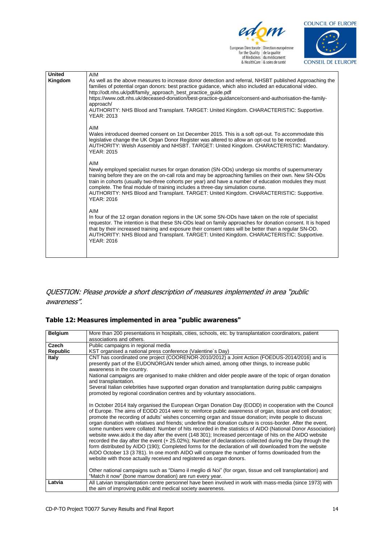



| <b>United</b><br>Kingdom | AIM<br>As well as the above measures to increase donor detection and referral, NHSBT published Approaching the<br>families of potential organ donors: best practice guidance, which also included an educational video.<br>http://odt.nhs.uk/pdf/family_approach_best_practice_guide.pdf<br>https://www.odt.nhs.uk/deceased-donation/best-practice-guidance/consent-and-authorisation-the-family-<br>approach/<br>AUTHORITY: NHS Blood and Transplant. TARGET: United Kingdom. CHARACTERISTIC: Supportive.<br><b>YEAR: 2013</b> |
|--------------------------|---------------------------------------------------------------------------------------------------------------------------------------------------------------------------------------------------------------------------------------------------------------------------------------------------------------------------------------------------------------------------------------------------------------------------------------------------------------------------------------------------------------------------------|
|                          | AIM<br>Wales introduced deemed consent on 1st December 2015. This is a soft opt-out. To accommodate this<br>legislative change the UK Organ Donor Register was altered to allow an opt-out to be recorded.<br>AUTHORITY: Welsh Assembly and NHSBT. TARGET: United Kingdom. CHARACTERISTIC: Mandatory.<br><b>YEAR: 2015</b>                                                                                                                                                                                                      |
|                          | AIM<br>Newly employed specialist nurses for organ donation (SN-ODs) undergo six months of supernumerary<br>training before they are on the on-call rota and may be approaching families on their own. New SN-ODs<br>train in cohorts (usually two-three cohorts per year) and have a number of education modules they must<br>complete. The final module of training includes a three-day simulation course.<br>AUTHORITY: NHS Blood and Transplant. TARGET: United Kingdom. CHARACTERISTIC: Supportive.<br><b>YEAR: 2016</b>   |
|                          | AIM<br>In four of the 12 organ donation regions in the UK some SN-ODs have taken on the role of specialist<br>requestor. The intention is that these SN-ODs lead on family approaches for donation consent. It is hoped<br>that by their increased training and exposure their consent rates will be better than a regular SN-OD.<br>AUTHORITY: NHS Blood and Transplant. TARGET: United Kingdom. CHARACTERISTIC: Supportive.<br><b>YEAR: 2016</b>                                                                              |
|                          |                                                                                                                                                                                                                                                                                                                                                                                                                                                                                                                                 |

#### QUESTION: Please provide a short description of measures implemented in area "public awareness".

#### **Table 12: Measures implemented in area "public awareness"**

| <b>Belgium</b>  | More than 200 presentations in hospitals, cities, schools, etc. by transplantation coordinators, patient                                                                                                                                                                                                                                                                                                                                                                                                                                                                                                                                                                                                                                                                                                                                                                                                                                                                                                                                                               |  |  |
|-----------------|------------------------------------------------------------------------------------------------------------------------------------------------------------------------------------------------------------------------------------------------------------------------------------------------------------------------------------------------------------------------------------------------------------------------------------------------------------------------------------------------------------------------------------------------------------------------------------------------------------------------------------------------------------------------------------------------------------------------------------------------------------------------------------------------------------------------------------------------------------------------------------------------------------------------------------------------------------------------------------------------------------------------------------------------------------------------|--|--|
|                 | associations and others.                                                                                                                                                                                                                                                                                                                                                                                                                                                                                                                                                                                                                                                                                                                                                                                                                                                                                                                                                                                                                                               |  |  |
| Czech           | Public campaigns in regional media                                                                                                                                                                                                                                                                                                                                                                                                                                                                                                                                                                                                                                                                                                                                                                                                                                                                                                                                                                                                                                     |  |  |
| <b>Republic</b> | KST organised a national press conference (Valentine's Day)                                                                                                                                                                                                                                                                                                                                                                                                                                                                                                                                                                                                                                                                                                                                                                                                                                                                                                                                                                                                            |  |  |
| Italy           | CNT has coordinated one project (COORENOR-2010/2012) a Joint Action (FOEDUS-2014/2016) and is<br>presently part of the EUDONORGAN tender which aimed, among other things, to increase public<br>awareness in the country.<br>National campaigns are organised to make children and older people aware of the topic of organ donation<br>and transplantation.<br>Several Italian celebrities have supported organ donation and transplantation during public campaigns<br>promoted by regional coordination centres and by voluntary associations.                                                                                                                                                                                                                                                                                                                                                                                                                                                                                                                      |  |  |
|                 | In October 2014 Italy organised the European Organ Donation Day (EODD) in cooperation with the Council<br>of Europe. The aims of EODD 2014 were to: reinforce public awareness of organ, tissue and cell donation;<br>promote the recording of adults' wishes concerning organ and tissue donation; invite people to discuss<br>organ donation with relatives and friends; underline that donation culture is cross-border. After the event,<br>some numbers were collated: Number of hits recorded in the statistics of AIDO (National Donor Association)<br>website www.aido.it the day after the event (148 301); Increased percentage of hits on the AIDO website<br>recorded the day after the event (+ 25.02%); Number of declarations collected during the Day through the<br>form distributed by AIDO (190); Completed forms for the declaration of will downloaded from the website<br>AIDO October 13 (3781). In one month AIDO will compare the number of forms downloaded from the<br>website with those actually received and registered as organ donors. |  |  |
|                 | Other national campaigns such as "Diamo il meglio di Noi" (for organ, tissue and cell transplantation) and<br>"Match it now" (bone marrow donation) are run every year.                                                                                                                                                                                                                                                                                                                                                                                                                                                                                                                                                                                                                                                                                                                                                                                                                                                                                                |  |  |
| Latvia          | All Latvian transplantation centre personnel have been involved in work with mass-media (since 1973) with<br>the aim of improving public and medical society awareness.                                                                                                                                                                                                                                                                                                                                                                                                                                                                                                                                                                                                                                                                                                                                                                                                                                                                                                |  |  |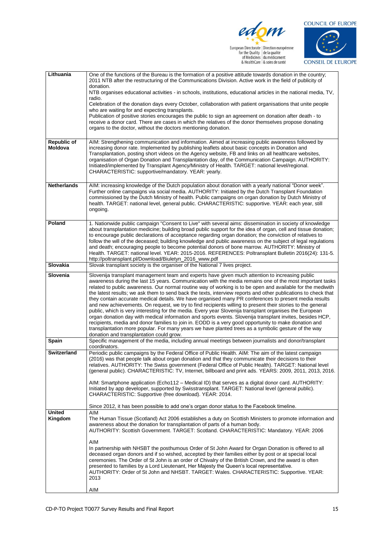

edom European Directoric | Direction européenne<br>
for the Quality | de la qualité<br>
of Medicines | du médicament<br>
& HealthCare | & soins de santé



| Lithuania          | One of the functions of the Bureau is the formation of a positive attitude towards donation in the country;                                                                                                             |  |  |
|--------------------|-------------------------------------------------------------------------------------------------------------------------------------------------------------------------------------------------------------------------|--|--|
|                    | 2011 NTB after the restructuring of the Communications Division. Active work in the field of publicity of<br>donation.                                                                                                  |  |  |
|                    | NTB organises educational activities - in schools, institutions, educational articles in the national media, TV,                                                                                                        |  |  |
|                    | radio.                                                                                                                                                                                                                  |  |  |
|                    | Celebration of the donation days every October, collaboration with patient organisations that unite people<br>who are waiting for and expecting transplants.                                                            |  |  |
|                    | Publication of positive stories encourages the public to sign an agreement on donation after death - to                                                                                                                 |  |  |
|                    | receive a donor card. There are cases in which the relatives of the donor themselves propose donating<br>organs to the doctor, without the doctors mentioning donation.                                                 |  |  |
|                    |                                                                                                                                                                                                                         |  |  |
| <b>Republic of</b> | AIM: Strengthening communication and information. Aimed at increasing public awareness followed by                                                                                                                      |  |  |
| Moldova            | increasing donor rate. Implemented by publishing leaflets about basic concepts in Donation and<br>Transplantation, posting short videos on the Agency website, FB and links on all healthcare websites,                 |  |  |
|                    | organisation of Organ Donation and Transplantation day, of the Communication Campaign. AUTHORITY:                                                                                                                       |  |  |
|                    | Initiated/implemented by Transplant Agency/Ministry of Health. TARGET: national level/regional.<br>CHARACTERISTIC: supportive/mandatory. YEAR: yearly.                                                                  |  |  |
|                    |                                                                                                                                                                                                                         |  |  |
| <b>Netherlands</b> | AIM: increasing knowledge of the Dutch population about donation with a yearly national "Donor week".                                                                                                                   |  |  |
|                    | Further online campaigns via social media. AUTHORITY: Initiated by the Dutch Transplant Foundation<br>commissioned by the Dutch Ministry of health. Public campaigns on organ donation by Dutch Ministry of             |  |  |
|                    | health. TARGET: national level, general public. CHARACTERISTIC: supportive. YEAR: each year, still                                                                                                                      |  |  |
|                    | ongoing.                                                                                                                                                                                                                |  |  |
| Poland             | 1. Nationwide public campaign "Consent to Live" with several aims: dissemination in society of knowledge                                                                                                                |  |  |
|                    | about transplantation medicine; building broad public support for the idea of organ, cell and tissue donation;                                                                                                          |  |  |
|                    | to encourage public declarations of acceptance regarding organ donation; the conviction of relatives to<br>follow the will of the deceased; building knowledge and public awareness on the subject of legal regulations |  |  |
|                    | and death; encouraging people to become potential donors of bone marrow. AUTHORITY: Ministry of                                                                                                                         |  |  |
|                    | Health. TARGET: national level. YEAR: 2015-2016. REFERENCES: Poltransplant Bulletin 2016(24): 131-5.<br>http://poltransplant.pl/Download/Biuletyn_2016_www.pdf                                                          |  |  |
| Slovakia           | Slovak transplant society is the organiser of the National 7 lives project.                                                                                                                                             |  |  |
| Slovenia           | Slovenija transplant management team and experts have given much attention to increasing public                                                                                                                         |  |  |
|                    | awareness during the last 15 years. Communication with the media remains one of the most important tasks<br>related to public awareness. Our normal routine way of working is to be open and available for the mediwith |  |  |
|                    | the latest results; we ask them to send back the texts, interview reports and other publications to check that                                                                                                          |  |  |
|                    | they contain accurate medical details. We have organised many PR conferences to present media results<br>and new achievements. On request, we try to find recipients willing to present their stories to the general    |  |  |
|                    | public, which is very interesting for the media. Every year Slovenija transplant organises the European                                                                                                                 |  |  |
|                    | organ donation day with medical information and sports events. Slovenija transplant invites, besides HCP,                                                                                                               |  |  |
|                    | recipients, media and donor families to join in. EODD is a very good opportunity to make donation and<br>transplantation more popular. For many years we have planted trees as a symbolic gesture of the way            |  |  |
| Spain              | donation and transplantation could grow.<br>Specific management of the media, including annual meetings between journalists and donor/transplant                                                                        |  |  |
|                    | coordinators.                                                                                                                                                                                                           |  |  |
| <b>Switzerland</b> | Periodic public campaigns by the Federal Office of Public Health. AIM: The aim of the latest campaign<br>(2016) was that people talk about organ donation and that they communicate their decisions to their            |  |  |
|                    | relatives. AUTHORITY: The Swiss government (Federal Office of Public Health). TARGET: National level                                                                                                                    |  |  |
|                    | (general public). CHARACTERISTIC: TV, Internet, billboard and print ads. YEARS: 2009, 2011, 2013, 2016.                                                                                                                 |  |  |
|                    | AIM: Smartphone application (Echo112 – Medical ID) that serves as a digital donor card. AUTHORITY:                                                                                                                      |  |  |
|                    | Initiated by app developer, supported by Swisstransplant. TARGET: National level (general public).                                                                                                                      |  |  |
|                    | CHARACTERISTIC: Supportive (free download). YEAR: 2014.                                                                                                                                                                 |  |  |
| <b>United</b>      | Since 2012, it has been possible to add one's organ donor status to the Facebook timeline.<br>AIM                                                                                                                       |  |  |
| Kingdom            | The Human Tissue (Scotland) Act 2006 establishes a duty on Scottish Ministers to promote information and                                                                                                                |  |  |
|                    | awareness about the donation for transplantation of parts of a human body.                                                                                                                                              |  |  |
|                    | AUTHORITY: Scottish Government. TARGET: Scotland. CHARACTERISTIC: Mandatory. YEAR: 2006                                                                                                                                 |  |  |
|                    | AIM                                                                                                                                                                                                                     |  |  |
|                    | In partnership with NHSBT the posthumous Order of St John Award for Organ Donation is offered to all<br>deceased organ donors and if so wished, accepted by their families either by post or at special local           |  |  |
|                    | ceremonies. The Order of St John is an order of Chivalry of the British Crown, and the award is often                                                                                                                   |  |  |
|                    | presented to families by a Lord Lieutenant, Her Majesty the Queen's local representative.<br>AUTHORITY: Order of St John and NHSBT. TARGET: Wales. CHARACTERISTIC: Supportive. YEAR:                                    |  |  |
|                    | 2013                                                                                                                                                                                                                    |  |  |
|                    | AIM                                                                                                                                                                                                                     |  |  |
|                    |                                                                                                                                                                                                                         |  |  |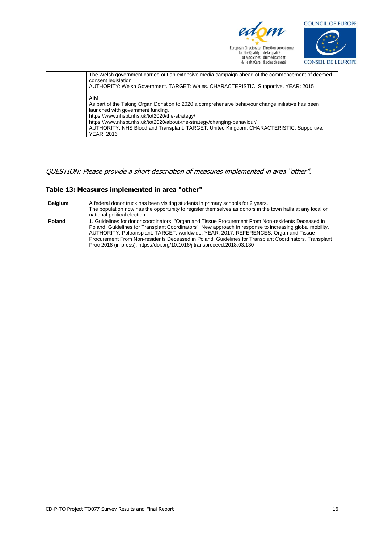

edom European Direction (Direction européenne<br>
for the Quality de la qualité<br>
of Medicines du médicament<br>
& HealthCare & soins de santé



| The Welsh government carried out an extensive media campaign ahead of the commencement of deemed<br>consent legislation.<br>AUTHORITY: Welsh Government. TARGET: Wales. CHARACTERISTIC: Supportive. YEAR: 2015 |
|----------------------------------------------------------------------------------------------------------------------------------------------------------------------------------------------------------------|
| AIM<br>As part of the Taking Organ Donation to 2020 a comprehensive behaviour change initiative has been<br>launched with government funding.<br>https://www.nhsbt.nhs.uk/tot2020/the-strategy/                |
| https://www.nhsbt.nhs.uk/tot2020/about-the-strategy/changing-behaviour/<br>AUTHORITY: NHS Blood and Transplant. TARGET: United Kingdom. CHARACTERISTIC: Supportive.<br><b>YEAR: 2016</b>                       |

#### QUESTION: Please provide a short description of measures implemented in area "other".

#### **Table 13: Measures implemented in area "other"**

| <b>Belgium</b>                                                                                           | A federal donor truck has been visiting students in primary schools for 2 years.                          |  |  |
|----------------------------------------------------------------------------------------------------------|-----------------------------------------------------------------------------------------------------------|--|--|
|                                                                                                          | The population now has the opportunity to register themselves as donors in the town halls at any local or |  |  |
|                                                                                                          | national political election.                                                                              |  |  |
| Poland                                                                                                   | 1. Guidelines for donor coordinators: "Organ and Tissue Procurement From Non-residents Deceased in        |  |  |
| Poland: Guidelines for Transplant Coordinators". New approach in response to increasing global mobility. |                                                                                                           |  |  |
|                                                                                                          | AUTHORITY: Poltransplant. TARGET: worldwide. YEAR: 2017. REFERENCES: Organ and Tissue                     |  |  |
|                                                                                                          | Procurement From Non-residents Deceased in Poland: Guidelines for Transplant Coordinators. Transplant     |  |  |
|                                                                                                          | Proc 2018 (in press). https://doi.org/10.1016/j.transproceed.2018.03.130                                  |  |  |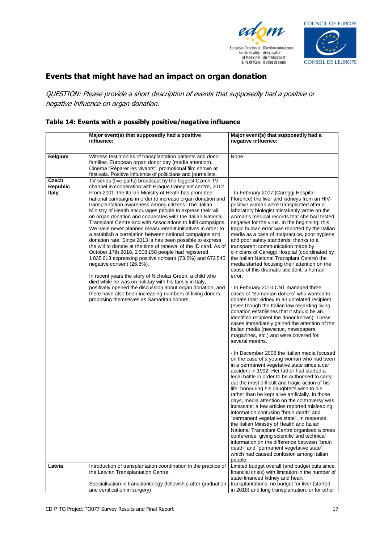



## **Events that might have had an impact on organ donation**

QUESTION: Please provide a short description of events that supposedly had a positive or negative influence on organ donation.

#### **Table 14: Events with a possibly positive/negative influence**

|                                 | Major event(s) that supposedly had a positive<br>influence:                                                                                                                                                                                                                                                                                                                                                                                                                                                                                                                                                                                                                                                                                                                                                                                                                                                                                                                                                                                                                                                                               | Major event(s) that supposedly had a<br>negative influence:                                                                                                                                                                                                                                                                                                                                                                                                                                                                                                                                                                                                                                                                                                                                                                                                                                                                                                                                                                                                                                                                                                                                                                                                                                                                                                                                                                                                                                                                                                                                                                                                                                                                                                                                                                                                                                                                                                                                          |
|---------------------------------|-------------------------------------------------------------------------------------------------------------------------------------------------------------------------------------------------------------------------------------------------------------------------------------------------------------------------------------------------------------------------------------------------------------------------------------------------------------------------------------------------------------------------------------------------------------------------------------------------------------------------------------------------------------------------------------------------------------------------------------------------------------------------------------------------------------------------------------------------------------------------------------------------------------------------------------------------------------------------------------------------------------------------------------------------------------------------------------------------------------------------------------------|------------------------------------------------------------------------------------------------------------------------------------------------------------------------------------------------------------------------------------------------------------------------------------------------------------------------------------------------------------------------------------------------------------------------------------------------------------------------------------------------------------------------------------------------------------------------------------------------------------------------------------------------------------------------------------------------------------------------------------------------------------------------------------------------------------------------------------------------------------------------------------------------------------------------------------------------------------------------------------------------------------------------------------------------------------------------------------------------------------------------------------------------------------------------------------------------------------------------------------------------------------------------------------------------------------------------------------------------------------------------------------------------------------------------------------------------------------------------------------------------------------------------------------------------------------------------------------------------------------------------------------------------------------------------------------------------------------------------------------------------------------------------------------------------------------------------------------------------------------------------------------------------------------------------------------------------------------------------------------------------------|
|                                 |                                                                                                                                                                                                                                                                                                                                                                                                                                                                                                                                                                                                                                                                                                                                                                                                                                                                                                                                                                                                                                                                                                                                           |                                                                                                                                                                                                                                                                                                                                                                                                                                                                                                                                                                                                                                                                                                                                                                                                                                                                                                                                                                                                                                                                                                                                                                                                                                                                                                                                                                                                                                                                                                                                                                                                                                                                                                                                                                                                                                                                                                                                                                                                      |
| <b>Belgium</b>                  | Witness testimonies of transplantation patients and donor<br>families. European organ donor day (media attention).<br>Cinema "Réparer les vivants", promotional film shown at<br>festivals. Positive influence of politicians and journalists.                                                                                                                                                                                                                                                                                                                                                                                                                                                                                                                                                                                                                                                                                                                                                                                                                                                                                            | None                                                                                                                                                                                                                                                                                                                                                                                                                                                                                                                                                                                                                                                                                                                                                                                                                                                                                                                                                                                                                                                                                                                                                                                                                                                                                                                                                                                                                                                                                                                                                                                                                                                                                                                                                                                                                                                                                                                                                                                                 |
| Czech                           | TV series (five parts) broadcast by the biggest Czech TV                                                                                                                                                                                                                                                                                                                                                                                                                                                                                                                                                                                                                                                                                                                                                                                                                                                                                                                                                                                                                                                                                  |                                                                                                                                                                                                                                                                                                                                                                                                                                                                                                                                                                                                                                                                                                                                                                                                                                                                                                                                                                                                                                                                                                                                                                                                                                                                                                                                                                                                                                                                                                                                                                                                                                                                                                                                                                                                                                                                                                                                                                                                      |
| <b>Republic</b><br><b>Italy</b> | channel in cooperation with Prague transplant centre, 2012<br>From 2001, the Italian Ministry of Heath has promoted<br>national campaigns in order to increase organ donation and<br>transplantation awareness among citizens. The Italian<br>Ministry of Health encourages people to express their will<br>on organ donation and cooperates with the Italian National<br>Transplant Centre and with Associations to fulfil campaigns.<br>We have never planned measurement initiatives in order to<br>a establish a correlation between national campaigns and<br>donation rate. Since 2013 is has been possible to express<br>the will to donate at the time of renewal of the ID card. As of<br>October 17th 2018, 2508 158 people had registered,<br>1835613 expressing positive consent (73.2%) and 672545<br>negative consent (26.8%).<br>In recent years the story of Nicholas Green, a child who<br>died while he was on holiday with his family in Italy,<br>positively opened the discussion about organ donation, and<br>there have also been increasing numbers of living donors<br>proposing themselves as Samaritan donors. | - In February 2007 (Careggi Hospital-<br>Florence) the liver and kidneys from an HIV-<br>positive woman were transplanted after a<br>laboratory biologist mistakenly wrote on the<br>woman's medical records that she had tested<br>negative for the virus. In the beginning, this<br>tragic human error was reported by the Italian<br>media as a case of malpractice, poor hygiene<br>and poor safety standards; thanks to a<br>transparent communication made by<br>clinicians of Careggi Hospital (coordinated by<br>the Italian National Transplant Centre) the<br>media started focusing their attention on the<br>cause of this dramatic accident: a human<br>error.<br>- In February 2010 CNT managed three<br>cases of "Samaritan donors" who wanted to<br>donate their kidney to an unrelated recipient<br>(even though the Italian law regarding living<br>donation establishes that it should be an<br>identified recipient the donor knows). These<br>cases immediately gained the attention of the<br>Italian media (newscast, newspapers,<br>magazines, etc.) and were covered for<br>several months.<br>- In December 2008 the Italian media focused<br>on the case of a young woman who had been<br>in a permanent vegetative state since a car<br>accident in 1992. Her father had started a<br>legal battle in order to be authorised to carry<br>out the most difficult and tragic action of his<br>life: honouring his daughter's wish to die<br>rather than be kept alive artificially. In those<br>days, media attention on the controversy was<br>incessant: a few articles reported misleading<br>information confusing "brain death" and<br>"permanent vegetative state". In response,<br>the Italian Ministry of Health and Italian<br>National Transplant Centre organised a press<br>conference, giving scientific and technical<br>information on the difference between "brain<br>death" and "permanent vegetative state"<br>which had caused confusion among Italian |
| Latvia                          | Introduction of transplantation coordination in the practice of<br>the Latvian Transplantation Centre.                                                                                                                                                                                                                                                                                                                                                                                                                                                                                                                                                                                                                                                                                                                                                                                                                                                                                                                                                                                                                                    | people.<br>Limited budget overall (and budget cuts since<br>financial crisis) with limitation in the number of                                                                                                                                                                                                                                                                                                                                                                                                                                                                                                                                                                                                                                                                                                                                                                                                                                                                                                                                                                                                                                                                                                                                                                                                                                                                                                                                                                                                                                                                                                                                                                                                                                                                                                                                                                                                                                                                                       |
|                                 | Specialisation in transplantology (fellowship after graduation<br>and certification in surgery)                                                                                                                                                                                                                                                                                                                                                                                                                                                                                                                                                                                                                                                                                                                                                                                                                                                                                                                                                                                                                                           | state-financed kidney and heart<br>transplantations, no budget for liver (started<br>in 2018) and lung transplantation, or for other                                                                                                                                                                                                                                                                                                                                                                                                                                                                                                                                                                                                                                                                                                                                                                                                                                                                                                                                                                                                                                                                                                                                                                                                                                                                                                                                                                                                                                                                                                                                                                                                                                                                                                                                                                                                                                                                 |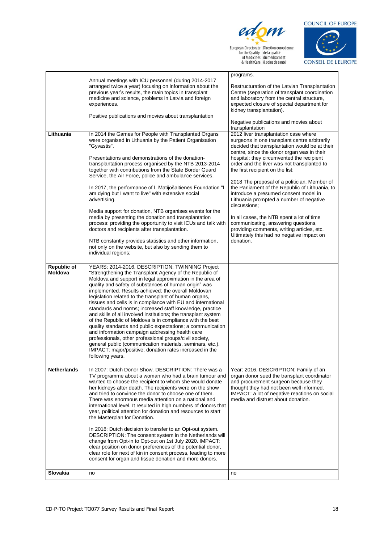

**CONSEIL DE L'EUROPE** 

|                               |                                                                                                                                                                                                                                                                                                                                                                                                                                                                                                                                                                                                                                                                                                                                                                                                                                                                                                                                      | programs.                                                                                                                                                                                                                                                       |
|-------------------------------|--------------------------------------------------------------------------------------------------------------------------------------------------------------------------------------------------------------------------------------------------------------------------------------------------------------------------------------------------------------------------------------------------------------------------------------------------------------------------------------------------------------------------------------------------------------------------------------------------------------------------------------------------------------------------------------------------------------------------------------------------------------------------------------------------------------------------------------------------------------------------------------------------------------------------------------|-----------------------------------------------------------------------------------------------------------------------------------------------------------------------------------------------------------------------------------------------------------------|
|                               | Annual meetings with ICU personnel (during 2014-2017<br>arranged twice a year) focusing on information about the                                                                                                                                                                                                                                                                                                                                                                                                                                                                                                                                                                                                                                                                                                                                                                                                                     | Restructuration of the Latvian Transplantation                                                                                                                                                                                                                  |
|                               | previous year's results, the main topics in transplant<br>medicine and science, problems in Latvia and foreign                                                                                                                                                                                                                                                                                                                                                                                                                                                                                                                                                                                                                                                                                                                                                                                                                       | Centre (separation of transplant coordination<br>and laboratory from the central structure,                                                                                                                                                                     |
|                               | experiences.                                                                                                                                                                                                                                                                                                                                                                                                                                                                                                                                                                                                                                                                                                                                                                                                                                                                                                                         | expected closure of special department for                                                                                                                                                                                                                      |
|                               |                                                                                                                                                                                                                                                                                                                                                                                                                                                                                                                                                                                                                                                                                                                                                                                                                                                                                                                                      | kidney transplantation).                                                                                                                                                                                                                                        |
|                               | Positive publications and movies about transplantation                                                                                                                                                                                                                                                                                                                                                                                                                                                                                                                                                                                                                                                                                                                                                                                                                                                                               | Negative publications and movies about                                                                                                                                                                                                                          |
|                               |                                                                                                                                                                                                                                                                                                                                                                                                                                                                                                                                                                                                                                                                                                                                                                                                                                                                                                                                      | transplantation                                                                                                                                                                                                                                                 |
| Lithuania                     | In 2014 the Games for People with Transplanted Organs<br>were organised in Lithuania by the Patient Organisation<br>"Gyvastis".                                                                                                                                                                                                                                                                                                                                                                                                                                                                                                                                                                                                                                                                                                                                                                                                      | 2012 liver transplantation case where<br>surgeons in one transplant centre arbitrarily<br>decided that transplantation would be at their<br>centre, since the donor organ was in their                                                                          |
|                               | Presentations and demonstrations of the donation-<br>transplantation process organised by the NTB 2013-2014<br>together with contributions from the State Border Guard                                                                                                                                                                                                                                                                                                                                                                                                                                                                                                                                                                                                                                                                                                                                                               | hospital; they circumvented the recipient<br>order and the liver was not transplanted to<br>the first recipient on the list;                                                                                                                                    |
|                               | Service, the Air Force, police and ambulance services.                                                                                                                                                                                                                                                                                                                                                                                                                                                                                                                                                                                                                                                                                                                                                                                                                                                                               | 2018 The proposal of a politician, Member of                                                                                                                                                                                                                    |
|                               | In 2017, the performance of I. Matijošaitienės Foundation "I<br>am dying but I want to live" with extensive social<br>advertising.                                                                                                                                                                                                                                                                                                                                                                                                                                                                                                                                                                                                                                                                                                                                                                                                   | the Parliament of the Republic of Lithuania, to<br>introduce a presumed consent model in<br>Lithuania prompted a number of negative<br>discussions;                                                                                                             |
|                               | Media support for donation, NTB organises events for the<br>media by presenting the donation and transplantation<br>process: providing the opportunity to visit ICUs and talk with<br>doctors and recipients after transplantation.                                                                                                                                                                                                                                                                                                                                                                                                                                                                                                                                                                                                                                                                                                  | In all cases, the NTB spent a lot of time<br>communicating, answering questions,<br>providing comments, writing articles, etc.<br>Ultimately this had no negative impact on                                                                                     |
|                               | NTB constantly provides statistics and other information,<br>not only on the website, but also by sending them to<br>individual regions;                                                                                                                                                                                                                                                                                                                                                                                                                                                                                                                                                                                                                                                                                                                                                                                             | donation.                                                                                                                                                                                                                                                       |
| <b>Republic of</b><br>Moldova | YEARS: 2014-2016. DESCRIPTION: TWINNING Project<br>"Strengthening the Transplant Agency of the Republic of<br>Moldova and support in legal approximation in the area of<br>quality and safety of substances of human origin" was<br>implemented. Results achieved: the overall Moldovan<br>legislation related to the transplant of human organs,<br>tissues and cells is in compliance with EU and international<br>standards and norms; increased staff knowledge, practice<br>and skills of all involved institutions; the transplant system<br>of the Republic of Moldova is in compliance with the best<br>quality standards and public expectations; a communication<br>and information campaign addressing health care<br>professionals, other professional groups/civil society,<br>general public (communication materials, seminars, etc.).<br>IMPACT: major/positive; donation rates increased in the<br>following years. |                                                                                                                                                                                                                                                                 |
| <b>Netherlands</b>            | In 2007: Dutch Donor Show. DESCRIPTION: There was a<br>TV programme about a woman who had a brain tumour and<br>wanted to choose the recipient to whom she would donate<br>her kidneys after death. The recipients were on the show<br>and tried to convince the donor to choose one of them.<br>There was enormous media attention on a national and<br>international level. It resulted in high numbers of donors that<br>year, political attention for donation and resources to start<br>the Masterplan for Donation.<br>In 2018: Dutch decision to transfer to an Opt-out system.                                                                                                                                                                                                                                                                                                                                               | Year: 2016. DESCRIPTION: Family of an<br>organ donor sued the transplant coordinator<br>and procurement surgeon because they<br>thought they had not been well informed.<br>IMPACT: a lot of negative reactions on social<br>media and distrust about donation. |
|                               | DESCRIPTION: The consent system in the Netherlands will<br>change from Opt-in to Opt-out on 1st July 2020. IMPACT:<br>clear position on donor preferences of the potential donor,<br>clear role for next of kin in consent process, leading to more<br>consent for organ and tissue donation and more donors.                                                                                                                                                                                                                                                                                                                                                                                                                                                                                                                                                                                                                        |                                                                                                                                                                                                                                                                 |
| Slovakia                      | no                                                                                                                                                                                                                                                                                                                                                                                                                                                                                                                                                                                                                                                                                                                                                                                                                                                                                                                                   | no                                                                                                                                                                                                                                                              |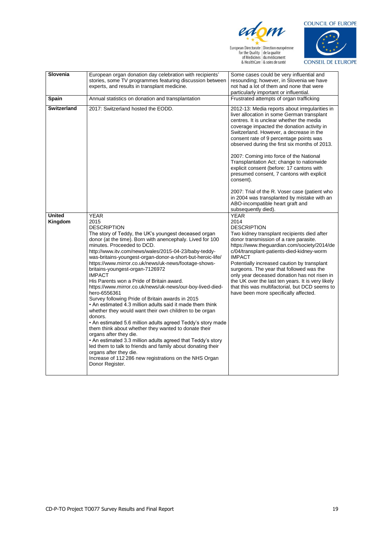

European Directoric | Direction européenne<br>
for the Quality | de la qualité<br>
of Medicines | du médicament<br>
& HealthCare | & soins de santé



| Slovenia                 | European organ donation day celebration with recipients'<br>stories, some TV programmes featuring discussion between                                                                                                                                                                                                                                                                                                                                                                                                                                                                                                                                                                                                                                                                                                                                                                                                                                                                                                                                                                                                                 | Some cases could be very influential and<br>resounding; however, in Slovenia we have                                                                                                                                                                                                                                                                                                                                                                                                                                                                                                                                         |
|--------------------------|--------------------------------------------------------------------------------------------------------------------------------------------------------------------------------------------------------------------------------------------------------------------------------------------------------------------------------------------------------------------------------------------------------------------------------------------------------------------------------------------------------------------------------------------------------------------------------------------------------------------------------------------------------------------------------------------------------------------------------------------------------------------------------------------------------------------------------------------------------------------------------------------------------------------------------------------------------------------------------------------------------------------------------------------------------------------------------------------------------------------------------------|------------------------------------------------------------------------------------------------------------------------------------------------------------------------------------------------------------------------------------------------------------------------------------------------------------------------------------------------------------------------------------------------------------------------------------------------------------------------------------------------------------------------------------------------------------------------------------------------------------------------------|
|                          | experts, and results in transplant medicine.                                                                                                                                                                                                                                                                                                                                                                                                                                                                                                                                                                                                                                                                                                                                                                                                                                                                                                                                                                                                                                                                                         | not had a lot of them and none that were                                                                                                                                                                                                                                                                                                                                                                                                                                                                                                                                                                                     |
|                          |                                                                                                                                                                                                                                                                                                                                                                                                                                                                                                                                                                                                                                                                                                                                                                                                                                                                                                                                                                                                                                                                                                                                      | particularly important or influential.                                                                                                                                                                                                                                                                                                                                                                                                                                                                                                                                                                                       |
| Spain                    | Annual statistics on donation and transplantation                                                                                                                                                                                                                                                                                                                                                                                                                                                                                                                                                                                                                                                                                                                                                                                                                                                                                                                                                                                                                                                                                    | Frustrated attempts of organ trafficking                                                                                                                                                                                                                                                                                                                                                                                                                                                                                                                                                                                     |
| <b>Switzerland</b>       | 2017: Switzerland hosted the EODD.                                                                                                                                                                                                                                                                                                                                                                                                                                                                                                                                                                                                                                                                                                                                                                                                                                                                                                                                                                                                                                                                                                   | 2012-13: Media reports about irregularities in<br>liver allocation in some German transplant<br>centres. It is unclear whether the media<br>coverage impacted the donation activity in<br>Switzerland. However, a decrease in the<br>consent rate of 9 percentage points was<br>observed during the first six months of 2013.<br>2007: Coming into force of the National<br>Transplantation Act; change to nationwide<br>explicit consent (before: 17 cantons with<br>presumed consent, 7 cantons with explicit<br>consent).<br>2007: Trial of the R. Voser case (patient who<br>in 2004 was transplanted by mistake with an |
|                          |                                                                                                                                                                                                                                                                                                                                                                                                                                                                                                                                                                                                                                                                                                                                                                                                                                                                                                                                                                                                                                                                                                                                      | ABO-incompatible heart graft and<br>subsequently died).                                                                                                                                                                                                                                                                                                                                                                                                                                                                                                                                                                      |
| <b>United</b><br>Kingdom | <b>YEAR</b><br>2015<br><b>DESCRIPTION</b><br>The story of Teddy, the UK's youngest deceased organ<br>donor (at the time). Born with anencephaly. Lived for 100<br>minutes. Proceeded to DCD.<br>http://www.itv.com/news/wales/2015-04-23/baby-teddy-<br>was-britains-youngest-organ-donor-a-short-but-heroic-life/<br>https://www.mirror.co.uk/news/uk-news/footage-shows-<br>britains-youngest-organ-7126972<br><b>IMPACT</b><br>His Parents won a Pride of Britain award.<br>https://www.mirror.co.uk/news/uk-news/our-boy-lived-died-<br>hero-6556361<br>Survey following Pride of Britain awards in 2015<br>• An estimated 4.3 million adults said it made them think<br>whether they would want their own children to be organ<br>donors.<br>• An estimated 5.6 million adults agreed Teddy's story made<br>them think about whether they wanted to donate their<br>organs after they die.<br>• An estimated 3.3 million adults agreed that Teddy's story<br>led them to talk to friends and family about donating their<br>organs after they die.<br>Increase of 112 286 new registrations on the NHS Organ<br>Donor Register. | <b>YEAR</b><br>2014<br><b>DESCRIPTION</b><br>Two kidney transplant recipients died after<br>donor transmission of a rare parasite.<br>https://www.theguardian.com/society/2014/de<br>c/04/transplant-patients-died-kidney-worm<br><b>IMPACT</b><br>Potentially increased caution by transplant<br>surgeons. The year that followed was the<br>only year deceased donation has not risen in<br>the UK over the last ten years. It is very likely<br>that this was multifactorial, but DCD seems to<br>have been more specifically affected.                                                                                   |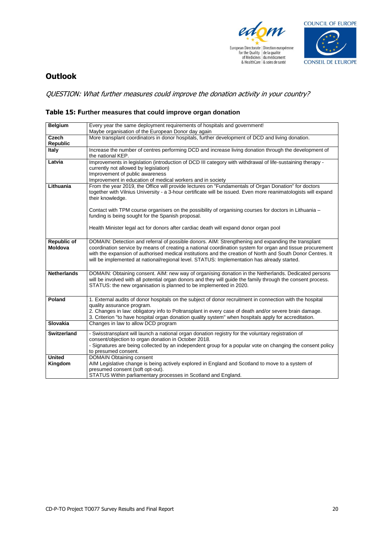



## **Outlook**

QUESTION: What further measures could improve the donation activity in your country?

#### **Table 15: Further measures that could improve organ donation**

| <b>Belgium</b>                | Every year the same deployment requirements of hospitals and government!                                                                                                                                                                                                                                                                                                                                                      |
|-------------------------------|-------------------------------------------------------------------------------------------------------------------------------------------------------------------------------------------------------------------------------------------------------------------------------------------------------------------------------------------------------------------------------------------------------------------------------|
|                               | Maybe organisation of the European Donor day again                                                                                                                                                                                                                                                                                                                                                                            |
| Czech                         | More transplant coordinators in donor hospitals, further development of DCD and living donation.                                                                                                                                                                                                                                                                                                                              |
| <b>Republic</b>               |                                                                                                                                                                                                                                                                                                                                                                                                                               |
| <b>Italy</b>                  | Increase the number of centres performing DCD and increase living donation through the development of<br>the national KEP.                                                                                                                                                                                                                                                                                                    |
| Latvia                        | Improvements in legislation (introduction of DCD III category with withdrawal of life-sustaining therapy -<br>currently not allowed by legislation)<br>Improvement of public awareness<br>Improvement in education of medical workers and in society                                                                                                                                                                          |
| Lithuania                     | From the year 2019, the Office will provide lectures on "Fundamentals of Organ Donation" for doctors<br>together with Vilnius University - a 3-hour certificate will be issued. Even more reanimatologists will expand<br>their knowledge.                                                                                                                                                                                    |
|                               | Contact with TPM course organisers on the possibility of organising courses for doctors in Lithuania –<br>funding is being sought for the Spanish proposal.                                                                                                                                                                                                                                                                   |
|                               | Health Minister legal act for donors after cardiac death will expand donor organ pool                                                                                                                                                                                                                                                                                                                                         |
| <b>Republic of</b><br>Moldova | DOMAIN: Detection and referral of possible donors. AIM: Strengthening and expanding the transplant<br>coordination service by means of creating a national coordination system for organ and tissue procurement<br>with the expansion of authorised medical institutions and the creation of North and South Donor Centres. It<br>will be implemented at national/regional level. STATUS: Implementation has already started. |
| <b>Netherlands</b>            | DOMAIN: Obtaining consent. AIM: new way of organising donation in the Netherlands. Dedicated persons<br>will be involved with all potential organ donors and they will guide the family through the consent process.<br>STATUS: the new organisation is planned to be implemented in 2020.                                                                                                                                    |
| Poland                        | 1. External audits of donor hospitals on the subject of donor recruitment in connection with the hospital<br>quality assurance program.<br>2. Changes in law: obligatory info to Poltransplant in every case of death and/or severe brain damage.<br>3. Criterion "to have hospital organ donation quality system" when hospitals apply for accreditation.                                                                    |
| <b>Slovakia</b>               | Changes in law to allow DCD program                                                                                                                                                                                                                                                                                                                                                                                           |
| <b>Switzerland</b>            | - Swisstransplant will launch a national organ donation registry for the voluntary registration of<br>consent/objection to organ donation in October 2018.<br>- Signatures are being collected by an independent group for a popular vote on changing the consent policy<br>to presumed consent.                                                                                                                              |
| <b>United</b><br>Kingdom      | <b>DOMAIN Obtaining consent</b><br>AIM Legislative change is being actively explored in England and Scotland to move to a system of<br>presumed consent (soft opt-out).<br>STATUS Within parliamentary processes in Scotland and England.                                                                                                                                                                                     |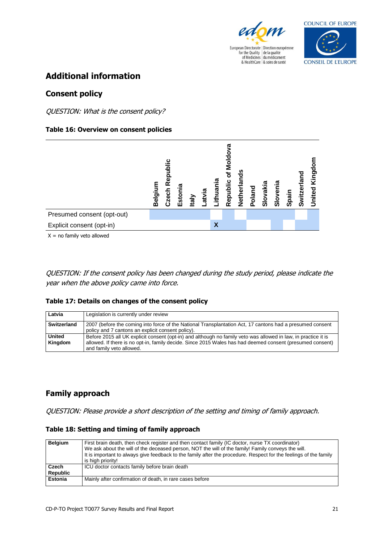



## **Additional information**

### **Consent policy**

QUESTION: What is the consent policy?

#### **Table 16: Overview on consent policies**



QUESTION: If the consent policy has been changed during the study period, please indicate the year when the above policy came into force.

#### **Table 17: Details on changes of the consent policy**

| Latvia                   | Legislation is currently under review                                                                                                                                                                                                                   |
|--------------------------|---------------------------------------------------------------------------------------------------------------------------------------------------------------------------------------------------------------------------------------------------------|
| Switzerland              | 2007 (before the coming into force of the National Transplantation Act, 17 cantons had a presumed consent<br>policy and 7 cantons an explicit consent policy).                                                                                          |
| <b>United</b><br>Kingdom | Before 2015 all UK explicit consent (opt-in) and although no family veto was allowed in law, in practice it is<br>allowed. If there is no opt-in, family decide. Since 2015 Wales has had deemed consent (presumed consent)<br>and family veto allowed. |

## **Family approach**

QUESTION: Please provide a short description of the setting and timing of family approach.

| Table 18: Setting and timing of family approach |  |  |
|-------------------------------------------------|--|--|
|                                                 |  |  |

| <b>Belgium</b>           | First brain death, then check register and then contact family (IC doctor, nurse TX coordinator)<br>We ask about the will of the deceased person, NOT the will of the family! Family conveys the will.<br>It is important to always give feedback to the family after the procedure. Respect for the feelings of the family<br>is high priority! |
|--------------------------|--------------------------------------------------------------------------------------------------------------------------------------------------------------------------------------------------------------------------------------------------------------------------------------------------------------------------------------------------|
| Czech<br><b>Republic</b> | ICU doctor contacts family before brain death                                                                                                                                                                                                                                                                                                    |
| <b>Estonia</b>           | Mainly after confirmation of death, in rare cases before                                                                                                                                                                                                                                                                                         |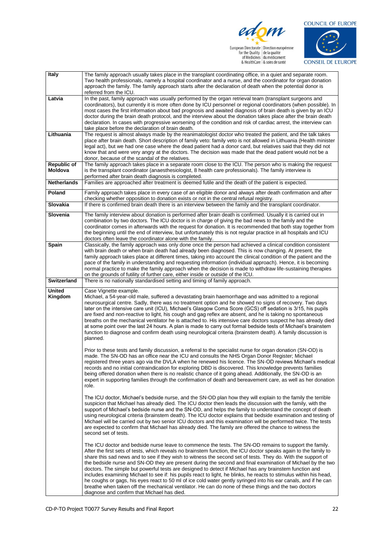

European Directoric | Direction européenne<br>
for the Quality | de la qualité<br>
of Medicines | du médicament<br>
& HealthCare | & soins de santé



| Italy                         | The family approach usually takes place in the transplant coordinating office, in a quiet and separate room.                                                                                                                    |
|-------------------------------|---------------------------------------------------------------------------------------------------------------------------------------------------------------------------------------------------------------------------------|
|                               | Two health professionals, namely a hospital coordinator and a nurse, and the coordinator for organ donation<br>approach the family. The family approach starts after the declaration of death when the potential donor is       |
| Latvia                        | referred from the ICU.<br>In the past, family approach was usually performed by the organ retrieval team (transplant surgeons and                                                                                               |
|                               | coordinators), but currently it is more often done by ICU personnel or regional coordinators (when possible). In                                                                                                                |
|                               | most cases the first information about bad prognosis and awaited diagnosis of brain death is given by an ICU                                                                                                                    |
|                               | doctor during the brain death protocol, and the interview about the donation takes place after the brain death                                                                                                                  |
|                               | declaration. In cases with progressive worsening of the condition and risk of cardiac arrest, the interview can                                                                                                                 |
| Lithuania                     | take place before the declaration of brain death.<br>The request is almost always made by the reanimatologist doctor who treated the patient, and the talk takes                                                                |
|                               | place after brain death. Short description of family veto: family veto is not allowed in Lithuania (Health minister                                                                                                             |
|                               | legal act), but we had one case where the dead patient had a donor card, but relatives said that they did not                                                                                                                   |
|                               | know that and were very angry at the doctors. The decision was made that the dead patient would not be a                                                                                                                        |
|                               | donor, because of the scandal of the relatives.                                                                                                                                                                                 |
| <b>Republic of</b><br>Moldova | The family approach takes place in a separate room close to the ICU. The person who is making the request<br>is the transplant coordinator (anaesthesiologist, 8 health care professionals). The family interview is            |
|                               | performed after brain death diagnosis is completed.                                                                                                                                                                             |
| <b>Netherlands</b>            | Families are approached after treatment is deemed futile and the death of the patient is expected.                                                                                                                              |
| Poland                        | Family approach takes place in every case of an eligible donor and always after death confirmation and after                                                                                                                    |
|                               | checking whether opposition to donation exists or not in the central refusal registry.                                                                                                                                          |
| Slovakia                      | If there is confirmed brain death there is an interview between the family and the transplant coordinator.                                                                                                                      |
| Slovenia                      | The family interview about donation is performed after brain death is confirmed. Usually it is carried out in                                                                                                                   |
|                               | combination by two doctors. The ICU doctor is in charge of giving the bad news to the family and the                                                                                                                            |
|                               | coordinator comes in afterwards with the request for donation. It is recommended that both stay together from                                                                                                                   |
|                               | the beginning until the end of interview, but unfortunately this is not regular practice in all hospitals and ICU<br>doctors often leave the coordinator alone with the family.                                                 |
| Spain                         | Classically, the family approach was only done once the person had achieved a clinical condition consistent                                                                                                                     |
|                               | with brain death or when brain death had already been diagnosed. This is now changing. At present, the                                                                                                                          |
|                               | family approach takes place at different times, taking into account the clinical condition of the patient and the                                                                                                               |
|                               | pace of the family in understanding and requesting information (individual approach). Hence, it is becoming                                                                                                                     |
|                               | normal practice to make the family approach when the decision is made to withdraw life-sustaining therapies<br>on the grounds of futility of further care, either inside or outside of the ICU.                                 |
| <b>Switzerland</b>            | There is no nationally standardised setting and timing of family approach.                                                                                                                                                      |
|                               |                                                                                                                                                                                                                                 |
|                               |                                                                                                                                                                                                                                 |
| <b>United</b>                 | Case Vignette example.                                                                                                                                                                                                          |
| Kingdom                       | Michael, a 54-year-old male, suffered a devastating brain haemorrhage and was admitted to a regional                                                                                                                            |
|                               | neurosurgical centre. Sadly, there was no treatment option and he showed no signs of recovery. Two days<br>later on the intensive care unit (ICU), Michael's Glasgow Coma Score (GCS) off sedation is 3/15, his pupils          |
|                               | are fixed and non-reactive to light, his cough and gag reflex are absent, and he is taking no spontaneous                                                                                                                       |
|                               | breaths on the mechanical ventilator he is attached to. His intensive care doctors suspect he has already died                                                                                                                  |
|                               | at some point over the last 24 hours. A plan is made to carry out formal bedside tests of Michael's brainstem                                                                                                                   |
|                               | function to diagnose and confirm death using neurological criteria (brainstem death). A family discussion is                                                                                                                    |
|                               | planned.                                                                                                                                                                                                                        |
|                               | Prior to these tests and family discussion, a referral to the specialist nurse for organ donation (SN-OD) is                                                                                                                    |
|                               | made. The SN-OD has an office near the ICU and consults the NHS Organ Donor Register; Michael                                                                                                                                   |
|                               | registered three years ago via the DVLA when he renewed his licence. The SN-OD reviews Michael's medical                                                                                                                        |
|                               | records and no initial contraindication for exploring DBD is discovered. This knowledge prevents families                                                                                                                       |
|                               | being offered donation when there is no realistic chance of it going ahead. Additionally, the SN-OD is an                                                                                                                       |
|                               | expert in supporting families through the confirmation of death and bereavement care, as well as her donation<br>role.                                                                                                          |
|                               |                                                                                                                                                                                                                                 |
|                               | The ICU doctor, Michael's bedside nurse, and the SN-OD plan how they will explain to the family the terrible                                                                                                                    |
|                               | suspicion that Michael has already died. The ICU doctor then leads the discussion with the family, with the                                                                                                                     |
|                               | support of Michael's bedside nurse and the SN-OD, and helps the family to understand the concept of death                                                                                                                       |
|                               | using neurological criteria (brainstem death). The ICU doctor explains that bedside examination and testing of<br>Michael will be carried out by two senior ICU doctors and this examination will be performed twice. The tests |
|                               | are expected to confirm that Michael has already died. The family are offered the chance to witness the                                                                                                                         |
|                               | second set of tests.                                                                                                                                                                                                            |
|                               |                                                                                                                                                                                                                                 |
|                               | The ICU doctor and bedside nurse leave to commence the tests. The SN-OD remains to support the family.                                                                                                                          |
|                               | After the first sets of tests, which reveals no brainstem function, the ICU doctor speaks again to the family to                                                                                                                |
|                               | share this sad news and to see if they wish to witness the second set of tests. They do. With the support of<br>the bedside nurse and SN-OD they are present during the second and final examination of Michael by the two      |
|                               | doctors. The simple but powerful tests are designed to detect if Michael has any brainstem function and                                                                                                                         |
|                               | includes examining Michael to see if: his pupils react to light, he blinks, he reacts to stimulus within his head,                                                                                                              |
|                               | he coughs or gags, his eyes react to 50 ml of ice cold water gently syringed into his ear canals, and if he can                                                                                                                 |
|                               | breathe when taken off the mechanical ventilator. He can do none of these things and the two doctors<br>diagnose and confirm that Michael has died.                                                                             |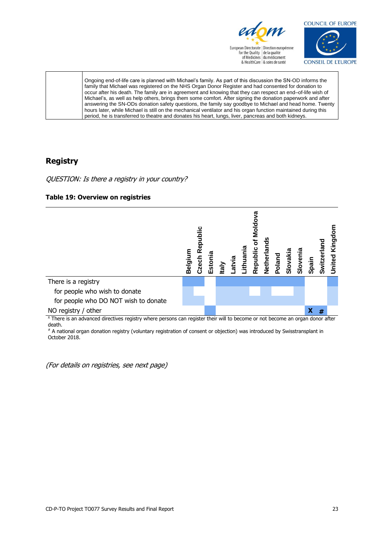



Ongoing end-of-life care is planned with Michael's family. As part of this discussion the SN-OD informs the family that Michael was registered on the NHS Organ Donor Register and had consented for donation to occur after his death. The family are in agreement and knowing that they can respect an end–of-life wish of Michael's, as well as help others, brings them some comfort. After signing the donation paperwork and after answering the SN-ODs donation safety questions, the family say goodbye to Michael and head home. Twenty hours later, while Michael is still on the mechanical ventilator and his organ function maintained during this period, he is transferred to theatre and donates his heart, lungs, liver, pancreas and both kidneys.

### **Registry**

QUESTION: Is there a registry in your country?





X There is an advanced directives registry where persons can register their will to become or not become an organ donor after death.

# A national organ donation registry (voluntary registration of consent or objection) was introduced by Swisstransplant in October 2018.

(For details on registries, see next page)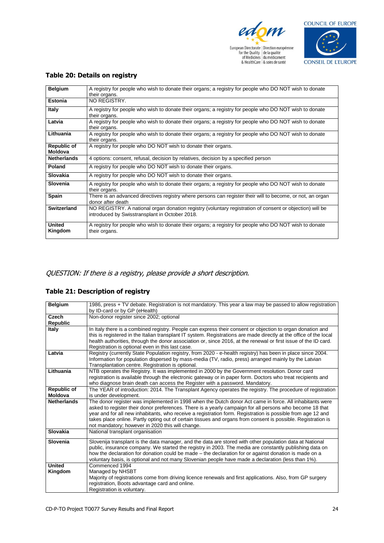



| <b>Belgium</b>           | A registry for people who wish to donate their organs; a registry for people who DO NOT wish to donate<br>their organs.                                    |
|--------------------------|------------------------------------------------------------------------------------------------------------------------------------------------------------|
| <b>Estonia</b>           | NO REGISTRY.                                                                                                                                               |
| <b>Italy</b>             | A registry for people who wish to donate their organs; a registry for people who DO NOT wish to donate<br>their organs.                                    |
| Latvia                   | A registry for people who wish to donate their organs; a registry for people who DO NOT wish to donate<br>their organs.                                    |
| Lithuania                | A registry for people who wish to donate their organs; a registry for people who DO NOT wish to donate<br>their organs.                                    |
| Republic of<br>Moldova   | A registry for people who DO NOT wish to donate their organs.                                                                                              |
| <b>Netherlands</b>       | 4 options: consent, refusal, decision by relatives, decision by a specified person                                                                         |
| Poland                   | A registry for people who DO NOT wish to donate their organs.                                                                                              |
| Slovakia                 | A registry for people who DO NOT wish to donate their organs.                                                                                              |
| Slovenia                 | A registry for people who wish to donate their organs; a registry for people who DO NOT wish to donate<br>their organs.                                    |
| Spain                    | There is an advanced directives registry where persons can register their will to become, or not, an organ<br>donor after death                            |
| <b>Switzerland</b>       | NO REGISTRY. A national organ donation registry (voluntary registration of consent or objection) will be<br>introduced by Swisstransplant in October 2018. |
| <b>United</b><br>Kingdom | A registry for people who wish to donate their organs; a registry for people who DO NOT wish to donate<br>their organs.                                    |

#### **Table 20: Details on registry**

#### QUESTION: If there is a registry, please provide a short description.

#### **Table 21: Description of registry**

| <b>Belgium</b>     | 1986, press + TV debate. Registration is not mandatory. This year a law may be passed to allow registration        |
|--------------------|--------------------------------------------------------------------------------------------------------------------|
|                    | by ID-card or by GP (eHealth)                                                                                      |
| <b>Czech</b>       | Non-donor register since 2002; optional                                                                            |
| <b>Republic</b>    |                                                                                                                    |
| Italy              | In Italy there is a combined registry. People can express their consent or objection to organ donation and         |
|                    | this is registered in the Italian transplant IT system. Registrations are made directly at the office of the local |
|                    | health authorities, through the donor association or, since 2016, at the renewal or first issue of the ID card.    |
|                    | Registration is optional even in this last case.                                                                   |
| Latvia             | Registry (currently State Population registry, from 2020 - e-health registry) has been in place since 2004.        |
|                    | Information for population dispersed by mass-media (TV, radio, press) arranged mainly by the Latvian               |
|                    | Transplantation centre. Registration is optional.                                                                  |
| Lithuania          | NTB operates the Registry. It was implemented in 2000 by the Government resolution. Donor card                     |
|                    | registration is available through the electronic gateway or in paper form. Doctors who treat recipients and        |
|                    | who diagnose brain death can access the Register with a password. Mandatory.                                       |
| <b>Republic of</b> | The YEAR of introduction: 2014. The Transplant Agency operates the registry. The procedure of registration         |
| <b>Moldova</b>     | is under development.                                                                                              |
| <b>Netherlands</b> | The donor register was implemented in 1998 when the Dutch donor Act came in force. All inhabitants were            |
|                    | asked to register their donor preferences. There is a yearly campaign for all persons who become 18 that           |
|                    | year and for all new inhabitants, who receive a registration form. Registration is possible from age 12 and        |
|                    | takes place online. Partly opting out of certain tissues and organs from consent is possible. Registration is      |
|                    | not mandatory; however in 2020 this will change.                                                                   |
| Slovakia           | National transplant organisation                                                                                   |
| Slovenia           | Slovenija transplant is the data manager, and the data are stored with other population data at National           |
|                    | public, insurance company. We started the registry in 2003. The media are constantly publishing data on            |
|                    | how the declaration for donation could be made – the declaration for or against donation is made on a              |
|                    | voluntary basis, is optional and not many Slovenian people have made a declaration (less than 1%).                 |
| <b>United</b>      | Commenced 1994                                                                                                     |
| Kingdom            | Managed by NHSBT                                                                                                   |
|                    | Majority of registrations come from driving licence renewals and first applications. Also, from GP surgery         |
|                    | registration, Boots advantage card and online.                                                                     |
|                    | Registration is voluntary.                                                                                         |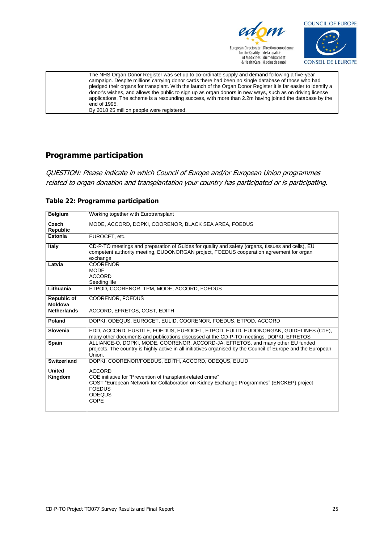



| The NHS Organ Donor Register was set up to co-ordinate supply and demand following a five-year                  |
|-----------------------------------------------------------------------------------------------------------------|
| campaign. Despite millions carrying donor cards there had been no single database of those who had              |
| pledged their organs for transplant. With the launch of the Organ Donor Register it is far easier to identify a |
| donor's wishes, and allows the public to sign up as organ donors in new ways, such as on driving license        |
| applications. The scheme is a resounding success, with more than 2.2m having joined the database by the         |
| end of 1995.                                                                                                    |
| By 2018 25 million people were registered.                                                                      |
|                                                                                                                 |

## **Programme participation**

QUESTION: Please indicate in which Council of Europe and/or European Union programmes related to organ donation and transplantation your country has participated or is participating.

| <b>Belgium</b>           | Working together with Eurotransplant                                                                                                                                                                               |
|--------------------------|--------------------------------------------------------------------------------------------------------------------------------------------------------------------------------------------------------------------|
| Czech<br><b>Republic</b> | MODE, ACCORD, DOPKI, COORENOR, BLACK SEA AREA, FOEDUS                                                                                                                                                              |
| Estonia                  | EUROCET. etc.                                                                                                                                                                                                      |
| Italy                    | CD-P-TO meetings and preparation of Guides for quality and safety (organs, tissues and cells), EU<br>competent authority meeting, EUDONORGAN project, FOEDUS cooperation agreement for organ<br>exchange           |
| Latvia                   | <b>COORENOR</b><br><b>MODE</b><br><b>ACCORD</b><br>Seeding life                                                                                                                                                    |
| Lithuania                | ETPOD, COORENOR, TPM, MODE, ACCORD, FOEDUS                                                                                                                                                                         |
| Republic of<br>Moldova   | COORENOR, FOEDUS                                                                                                                                                                                                   |
| <b>Netherlands</b>       | ACCORD, EFRETOS, COST, EDITH                                                                                                                                                                                       |
| Poland                   | DOPKI, ODEQUS, EUROCET, EULID, COORENOR, FOEDUS, ETPOD, ACCORD                                                                                                                                                     |
| Slovenia                 | EDD, ACCORD, EUSTITE, FOEDUS, EUROCET, ETPOD, EULID, EUDONORGAN, GUIDELINES (CoE),<br>many other documents and publications discussed at the CD-P-TO meetings, DOPKI, EFRETOS                                      |
| Spain                    | ALLIANCE-O, DOPKI, MODE, COORENOR, ACCORD-JA; EFRETOS, and many other EU funded<br>projects. The country is highly active in all initiatives organised by the Council of Europe and the European<br>Union.         |
| Switzerland              | DOPKI, COORENOR/FOEDUS, EDITH, ACCORD, ODEQUS, EULID                                                                                                                                                               |
| <b>United</b><br>Kingdom | <b>ACCORD</b><br>COE initiative for "Prevention of transplant-related crime"<br>COST "European Network for Collaboration on Kidney Exchange Programmes" (ENCKEP) project<br><b>FOEDUS</b><br><b>ODEQUS</b><br>COPE |

#### **Table 22: Programme participation**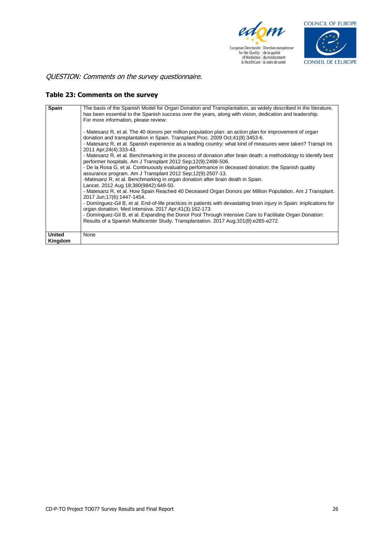



QUESTION: Comments on the survey questionnaire.

#### **Table 23: Comments on the survey**

| Spain                    | The basis of the Spanish Model for Organ Donation and Transplantation, as widely described in the literature,<br>has been essential to the Spanish success over the years, along with vision, dedication and leadership.<br>For more information, please review:<br>- Matesanz R, et al. The 40 donors per million population plan: an action plan for improvement of organ<br>donation and transplantation in Spain. Transplant Proc. 2009 Oct: 41(8): 3453-6.<br>- Matesanz R, et al. Spanish experience as a leading country: what kind of measures were taken? Transpl Int.<br>2011 Apr;24(4):333-43.<br>- Matesanz R, et al. Benchmarking in the process of donation after brain death: a methodology to identify best<br>performer hospitals. Am J Transplant 2012 Sep; 12(9): 2498-506.<br>- De la Rosa G, et al. Continuously evaluating performance in deceased donation: the Spanish quality<br>assurance program. Am J Transplant 2012 Sep; 12(9): 2507-13.<br>-Matesanz R, et al. Benchmarking in organ donation after brain death in Spain.<br>Lancet. 2012 Aug 18;380(9842):649-50.<br>- Matesanz R, et al. How Spain Reached 40 Deceased Organ Donors per Million Population. Am J Transplant.<br>2017 Jun; 17(6): 1447-1454.<br>- Dominguez-Gil B, et al. End-of-life practices in patients with devastating brain injury in Spain: implications for<br>organ donation. Med Intensiva. 2017 Apr; 41(3): 162-173.<br>- Domínguez-Gil B, et al. Expanding the Donor Pool Through Intensive Care to Facilitate Organ Donation:<br>Results of a Spanish Multicenter Study. Transplantation. 2017 Aug: 101(8): e265-e272. |
|--------------------------|--------------------------------------------------------------------------------------------------------------------------------------------------------------------------------------------------------------------------------------------------------------------------------------------------------------------------------------------------------------------------------------------------------------------------------------------------------------------------------------------------------------------------------------------------------------------------------------------------------------------------------------------------------------------------------------------------------------------------------------------------------------------------------------------------------------------------------------------------------------------------------------------------------------------------------------------------------------------------------------------------------------------------------------------------------------------------------------------------------------------------------------------------------------------------------------------------------------------------------------------------------------------------------------------------------------------------------------------------------------------------------------------------------------------------------------------------------------------------------------------------------------------------------------------------------------------------------------------------------------------------------------|
| <b>United</b><br>Kingdom | None                                                                                                                                                                                                                                                                                                                                                                                                                                                                                                                                                                                                                                                                                                                                                                                                                                                                                                                                                                                                                                                                                                                                                                                                                                                                                                                                                                                                                                                                                                                                                                                                                                 |